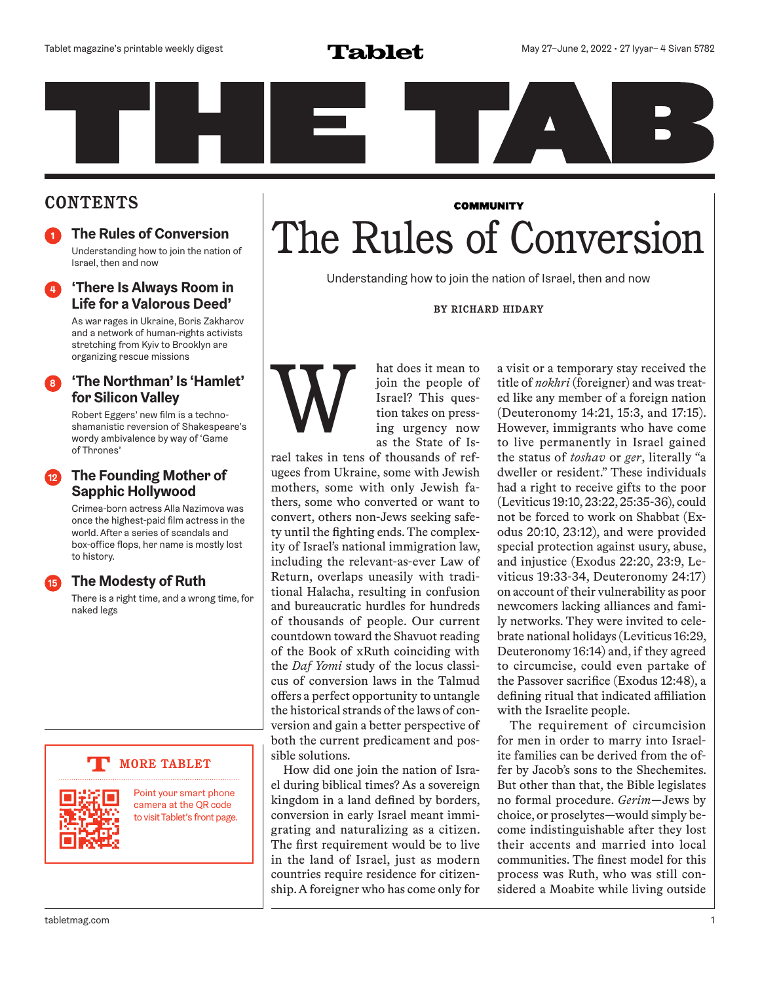#### **CONTENTS**

**<sup>1</sup> The Rules of Conversion** Understanding how to join the nation of Israel, then and now

#### **<sup>4</sup> 'There Is Always Room in Life for a Valorous Deed'**

As war rages in Ukraine, Boris Zakharov and a network of human-rights activists stretching from Kyiv to Brooklyn are organizing rescue missions

#### **<sup>8</sup> 'The Northman' Is 'Hamlet' for Silicon Valley**

Robert Eggers' new film is a technoshamanistic reversion of Shakespeare's wordy ambivalence by way of 'Game of Thrones'

#### **<sup>12</sup> The Founding Mother of Sapphic Hollywood**

Crimea-born actress Alla Nazimova was once the highest-paid film actress in the world. After a series of scandals and box-office flops, her name is mostly lost to history.

#### **<sup>15</sup> The Modesty of Ruth**

There is a right time, and a wrong time, for naked legs

#### **MORE TABLET**



Point your smart phone camera at the QR code to visit Tablet's front page.

### **COMMUNITY** The Rules of Conversion

Understanding how to join the nation of Israel, then and now

**BY RICHARD HIDARY**



hat does it mean to join the people of Israel? This question takes on pressing urgency now as the State of Is-

rael takes in tens of thousands of refugees from Ukraine, some with Jewish mothers, some with only Jewish fathers, some who converted or want to convert, others non-Jews seeking safety until the fighting ends. The complexity of Israel's national immigration law, including the relevant-as-ever Law of Return, overlaps uneasily with traditional Halacha, resulting in confusion and bureaucratic hurdles for hundreds of thousands of people. Our current countdown toward the Shavuot reading of the Book of xRuth coinciding with the *Daf Yomi* study of the locus classicus of conversion laws in the Talmud offers a perfect opportunity to untangle the historical strands of the laws of conversion and gain a better perspective of both the current predicament and possible solutions.

How did one join the nation of Israel during biblical times? As a sovereign kingdom in a land defined by borders, conversion in early Israel meant immigrating and naturalizing as a citizen. The first requirement would be to live in the land of Israel, just as modern countries require residence for citizenship. A foreigner who has come only for a visit or a temporary stay received the title of *nokhri* (foreigner) and was treated like any member of a foreign nation (Deuteronomy 14:21, 15:3, and 17:15). However, immigrants who have come to live permanently in Israel gained the status of *toshav* or *ger*, literally "a dweller or resident." These individuals had a right to receive gifts to the poor (Leviticus 19:10, 23:22, 25:35-36), could not be forced to work on Shabbat (Exodus 20:10, 23:12), and were provided special protection against usury, abuse, and injustice (Exodus 22:20, 23:9, Leviticus 19:33-34, Deuteronomy 24:17) on account of their vulnerability as poor newcomers lacking alliances and family networks. They were invited to celebrate national holidays (Leviticus 16:29, Deuteronomy 16:14) and, if they agreed to circumcise, could even partake of the Passover sacrifice (Exodus 12:48), a defining ritual that indicated affiliation with the Israelite people.

The requirement of circumcision for men in order to marry into Israelite families can be derived from the offer by Jacob's sons to the Shechemites. But other than that, the Bible legislates no formal procedure. *Gerim*—Jews by choice, or proselytes—would simply become indistinguishable after they lost their accents and married into local communities. The finest model for this process was Ruth, who was still considered a Moabite while living outside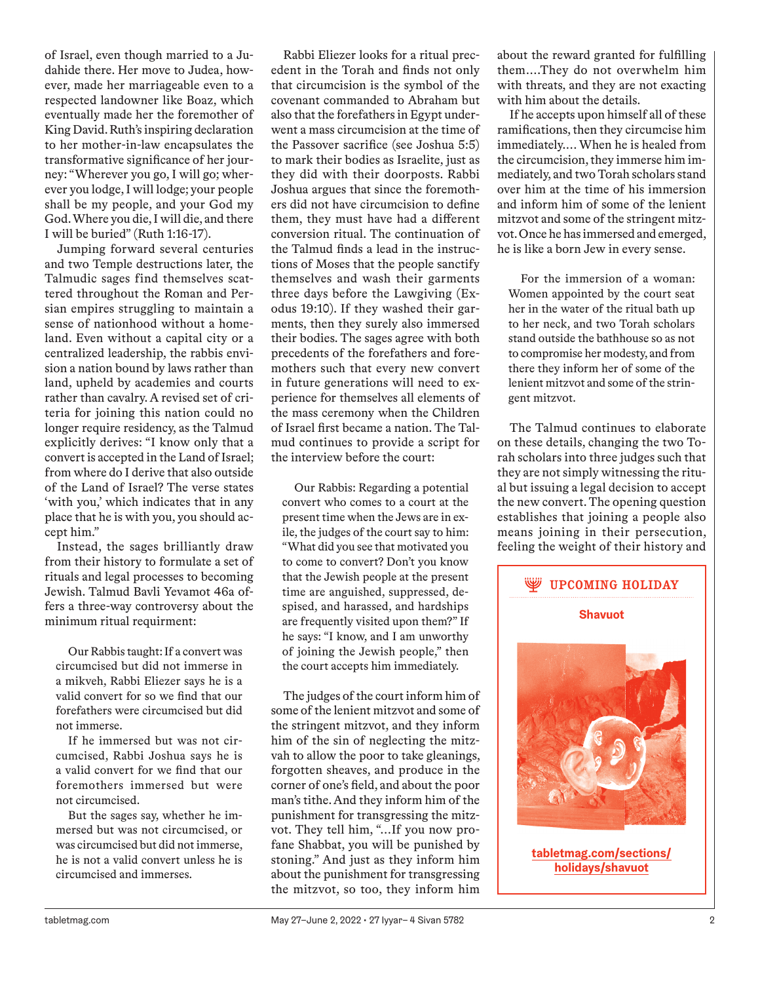of Israel, even though married to a Judahide there. Her move to Judea, however, made her marriageable even to a respected landowner like Boaz, which eventually made her the foremother of King David. Ruth's inspiring declaration to her mother-in-law encapsulates the transformative significance of her journey: "Wherever you go, I will go; wherever you lodge, I will lodge; your people shall be my people, and your God my God. Where you die, I will die, and there I will be buried" (Ruth 1:16-17).

Jumping forward several centuries and two Temple destructions later, the Talmudic sages find themselves scattered throughout the Roman and Persian empires struggling to maintain a sense of nationhood without a homeland. Even without a capital city or a centralized leadership, the rabbis envision a nation bound by laws rather than land, upheld by academies and courts rather than cavalry. A revised set of criteria for joining this nation could no longer require residency, as the Talmud explicitly derives: "I know only that a convert is accepted in the Land of Israel; from where do I derive that also outside of the Land of Israel? The verse states 'with you,' which indicates that in any place that he is with you, you should accept him."

Instead, the sages brilliantly draw from their history to formulate a set of rituals and legal processes to becoming Jewish. Talmud Bavli Yevamot 46a offers a three-way controversy about the minimum ritual requirment:

Our Rabbis taught: If a convert was circumcised but did not immerse in a mikveh, Rabbi Eliezer says he is a valid convert for so we find that our forefathers were circumcised but did not immerse.

If he immersed but was not circumcised, Rabbi Joshua says he is a valid convert for we find that our foremothers immersed but were not circumcised.

But the sages say, whether he immersed but was not circumcised, or was circumcised but did not immerse, he is not a valid convert unless he is circumcised and immerses.

Rabbi Eliezer looks for a ritual precedent in the Torah and finds not only that circumcision is the symbol of the covenant commanded to Abraham but also that the forefathers in Egypt underwent a mass circumcision at the time of the Passover sacrifice (see Joshua 5:5) to mark their bodies as Israelite, just as they did with their doorposts. Rabbi Joshua argues that since the foremothers did not have circumcision to define them, they must have had a different conversion ritual. The continuation of the Talmud finds a lead in the instructions of Moses that the people sanctify themselves and wash their garments three days before the Lawgiving (Exodus 19:10). If they washed their garments, then they surely also immersed their bodies. The sages agree with both precedents of the forefathers and foremothers such that every new convert in future generations will need to experience for themselves all elements of the mass ceremony when the Children of Israel first became a nation. The Talmud continues to provide a script for the interview before the court:

Our Rabbis: Regarding a potential convert who comes to a court at the present time when the Jews are in exile, the judges of the court say to him: "What did you see that motivated you to come to convert? Don't you know that the Jewish people at the present time are anguished, suppressed, despised, and harassed, and hardships are frequently visited upon them?" If he says: "I know, and I am unworthy of joining the Jewish people," then the court accepts him immediately.

The judges of the court inform him of some of the lenient mitzvot and some of the stringent mitzvot, and they inform him of the sin of neglecting the mitzvah to allow the poor to take gleanings, forgotten sheaves, and produce in the corner of one's field, and about the poor man's tithe. And they inform him of the punishment for transgressing the mitzvot. They tell him, "…If you now profane Shabbat, you will be punished by stoning." And just as they inform him about the punishment for transgressing the mitzvot, so too, they inform him

about the reward granted for fulfilling them….They do not overwhelm him with threats, and they are not exacting with him about the details.

If he accepts upon himself all of these ramifications, then they circumcise him immediately.… When he is healed from the circumcision, they immerse him immediately, and two Torah scholars stand over him at the time of his immersion and inform him of some of the lenient mitzvot and some of the stringent mitzvot. Once he has immersed and emerged, he is like a born Jew in every sense.

For the immersion of a woman: Women appointed by the court seat her in the water of the ritual bath up to her neck, and two Torah scholars stand outside the bathhouse so as not to compromise her modesty, and from there they inform her of some of the lenient mitzvot and some of the stringent mitzvot.

The Talmud continues to elaborate on these details, changing the two Torah scholars into three judges such that they are not simply witnessing the ritual but issuing a legal decision to accept the new convert. The opening question establishes that joining a people also means joining in their persecution, feeling the weight of their history and



**tabletmag.com/sections/ holidays/shavuot**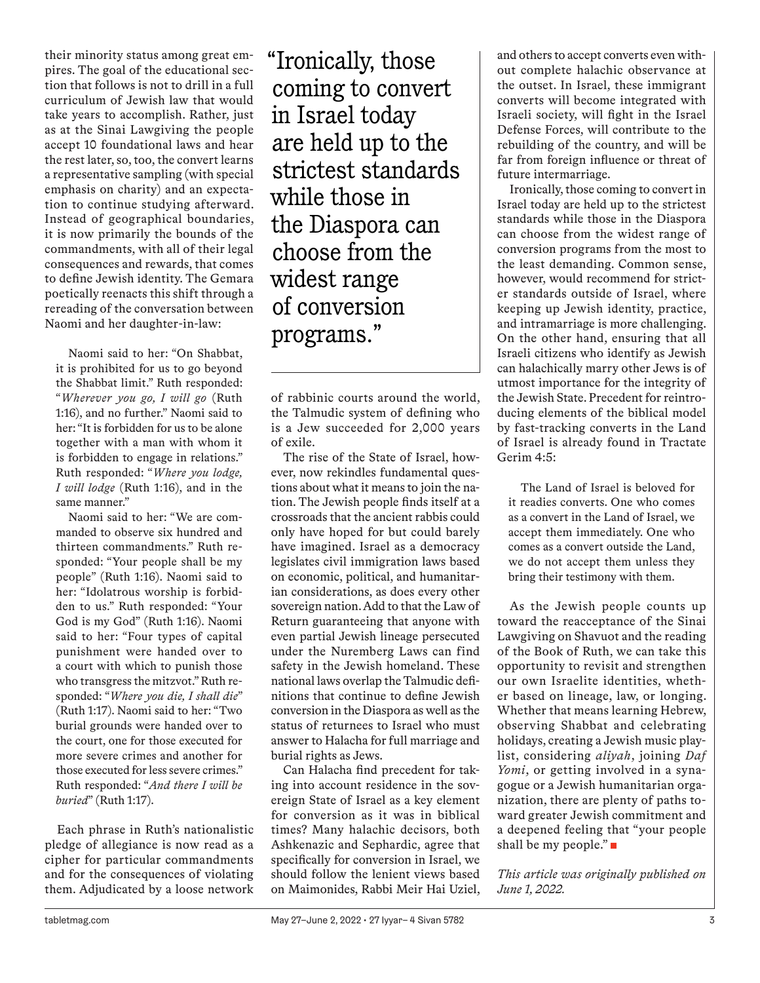their minority status among great empires. The goal of the educational section that follows is not to drill in a full curriculum of Jewish law that would take years to accomplish. Rather, just as at the Sinai Lawgiving the people accept 10 foundational laws and hear the rest later, so, too, the convert learns a representative sampling (with special emphasis on charity) and an expectation to continue studying afterward. Instead of geographical boundaries, it is now primarily the bounds of the commandments, with all of their legal consequences and rewards, that comes to define Jewish identity. The Gemara poetically reenacts this shift through a rereading of the conversation between Naomi and her daughter-in-law:

Naomi said to her: "On Shabbat, it is prohibited for us to go beyond the Shabbat limit." Ruth responded: "*Wherever you go, I will go* (Ruth 1:16), and no further." Naomi said to her: "It is forbidden for us to be alone together with a man with whom it is forbidden to engage in relations." Ruth responded: "*Where you lodge, I will lodge* (Ruth 1:16), and in the same manner."

Naomi said to her: "We are commanded to observe six hundred and thirteen commandments." Ruth responded: "Your people shall be my people" (Ruth 1:16). Naomi said to her: "Idolatrous worship is forbidden to us." Ruth responded: "Your God is my God" (Ruth 1:16). Naomi said to her: "Four types of capital punishment were handed over to a court with which to punish those who transgress the mitzvot." Ruth responded: "*Where you die, I shall die*" (Ruth 1:17). Naomi said to her: "Two burial grounds were handed over to the court, one for those executed for more severe crimes and another for those executed for less severe crimes." Ruth responded: "*And there I will be buried*" (Ruth 1:17).

Each phrase in Ruth's nationalistic pledge of allegiance is now read as a cipher for particular commandments and for the consequences of violating them. Adjudicated by a loose network "Ironically, those coming to convert in Israel today are held up to the strictest standards while those in the Diaspora can choose from the widest range of conversion programs."

of rabbinic courts around the world, the Talmudic system of defining who is a Jew succeeded for 2,000 years of exile.

The rise of the State of Israel, however, now rekindles fundamental questions about what it means to join the nation. The Jewish people finds itself at a crossroads that the ancient rabbis could only have hoped for but could barely have imagined. Israel as a democracy legislates civil immigration laws based on economic, political, and humanitarian considerations, as does every other sovereign nation. Add to that the Law of Return guaranteeing that anyone with even partial Jewish lineage persecuted under the Nuremberg Laws can find safety in the Jewish homeland. These national laws overlap the Talmudic definitions that continue to define Jewish conversion in the Diaspora as well as the status of returnees to Israel who must answer to Halacha for full marriage and burial rights as Jews.

Can Halacha find precedent for taking into account residence in the sovereign State of Israel as a key element for conversion as it was in biblical times? Many halachic decisors, both Ashkenazic and Sephardic, agree that specifically for conversion in Israel, we should follow the lenient views based on Maimonides, Rabbi Meir Hai Uziel, and others to accept converts even without complete halachic observance at the outset. In Israel, these immigrant converts will become integrated with Israeli society, will fight in the Israel Defense Forces, will contribute to the rebuilding of the country, and will be far from foreign influence or threat of future intermarriage.

Ironically, those coming to convert in Israel today are held up to the strictest standards while those in the Diaspora can choose from the widest range of conversion programs from the most to the least demanding. Common sense, however, would recommend for stricter standards outside of Israel, where keeping up Jewish identity, practice, and intramarriage is more challenging. On the other hand, ensuring that all Israeli citizens who identify as Jewish can halachically marry other Jews is of utmost importance for the integrity of the Jewish State. Precedent for reintroducing elements of the biblical model by fast-tracking converts in the Land of Israel is already found in Tractate Gerim 4:5:

The Land of Israel is beloved for it readies converts. One who comes as a convert in the Land of Israel, we accept them immediately. One who comes as a convert outside the Land, we do not accept them unless they bring their testimony with them.

As the Jewish people counts up toward the reacceptance of the Sinai Lawgiving on Shavuot and the reading of the Book of Ruth, we can take this opportunity to revisit and strengthen our own Israelite identities, whether based on lineage, law, or longing. Whether that means learning Hebrew, observing Shabbat and celebrating holidays, creating a Jewish music playlist, considering *aliyah*, joining *Daf Yomi*, or getting involved in a synagogue or a Jewish humanitarian organization, there are plenty of paths toward greater Jewish commitment and a deepened feeling that "your people shall be my people."

*This article was originally published on June 1, 2022.*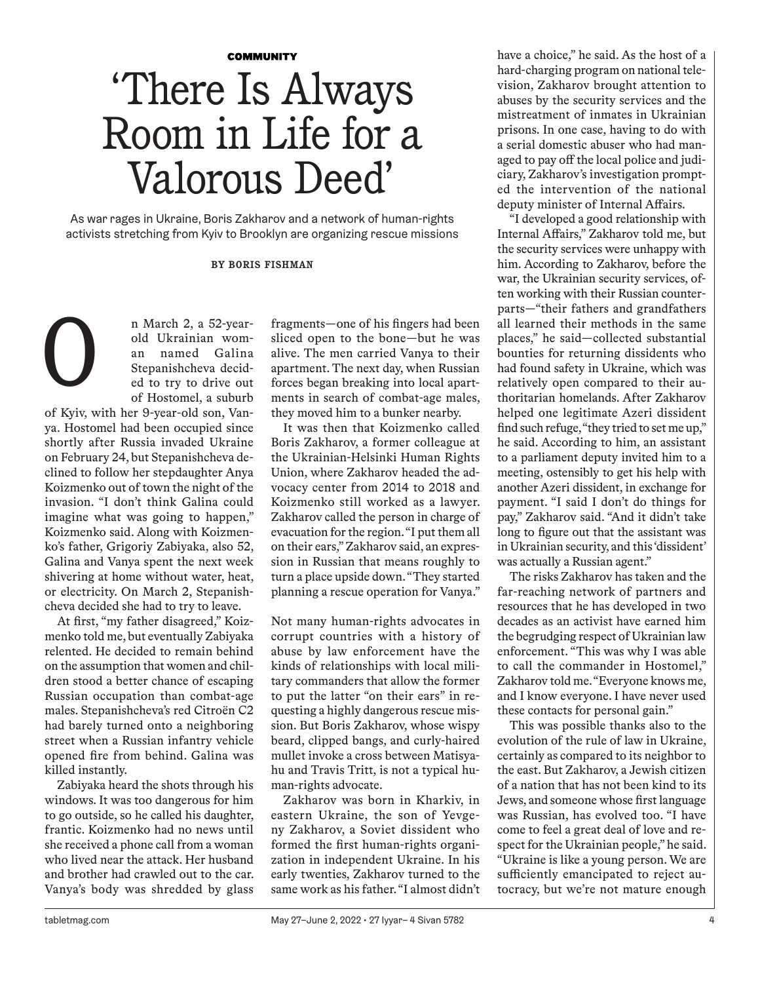## **COMMUNITY** 'There Is Always Room in Life for a Valorous Deed'

As war rages in Ukraine, Boris Zakharov and a network of human-rights activists stretching from Kyiv to Brooklyn are organizing rescue missions

#### **BY BORIS FISHMAN**

n March 2, a 52-yearold Ukrainian woman named Galina Stepanishcheva decided to try to drive out of Hostomel, a suburb O

of Kyiv, with her 9-year-old son, Vanya. Hostomel had been occupied since shortly after Russia invaded Ukraine on February 24, but Stepanishcheva declined to follow her stepdaughter Anya Koizmenko out of town the night of the invasion. "I don't think Galina could imagine what was going to happen," Koizmenko said. Along with Koizmenko's father, Grigoriy Zabiyaka, also 52, Galina and Vanya spent the next week shivering at home without water, heat, or electricity. On March 2, Stepanishcheva decided she had to try to leave.

At first, "my father disagreed," Koizmenko told me, but eventually Zabiyaka relented. He decided to remain behind on the assumption that women and children stood a better chance of escaping Russian occupation than combat-age males. Stepanishcheva's red Citroën C2 had barely turned onto a neighboring street when a Russian infantry vehicle opened fire from behind. Galina was killed instantly.

Zabiyaka heard the shots through his windows. It was too dangerous for him to go outside, so he called his daughter, frantic. Koizmenko had no news until she received a phone call from a woman who lived near the attack. Her husband and brother had crawled out to the car. Vanya's body was shredded by glass

fragments—one of his fingers had been sliced open to the bone—but he was alive. The men carried Vanya to their apartment. The next day, when Russian forces began breaking into local apartments in search of combat-age males, they moved him to a bunker nearby.

It was then that Koizmenko called Boris Zakharov, a former colleague at the Ukrainian-Helsinki Human Rights Union, where Zakharov headed the advocacy center from 2014 to 2018 and Koizmenko still worked as a lawyer. Zakharov called the person in charge of evacuation for the region. "I put them all on their ears," Zakharov said, an expression in Russian that means roughly to turn a place upside down. "They started planning a rescue operation for Vanya."

Not many human-rights advocates in corrupt countries with a history of abuse by law enforcement have the kinds of relationships with local military commanders that allow the former to put the latter "on their ears" in requesting a highly dangerous rescue mission. But Boris Zakharov, whose wispy beard, clipped bangs, and curly-haired mullet invoke a cross between Matisyahu and Travis Tritt, is not a typical human-rights advocate.

Zakharov was born in Kharkiv, in eastern Ukraine, the son of Yevgeny Zakharov, a Soviet dissident who formed the first human-rights organization in independent Ukraine. In his early twenties, Zakharov turned to the same work as his father. "I almost didn't have a choice," he said. As the host of a hard-charging program on national television, Zakharov brought attention to abuses by the security services and the mistreatment of inmates in Ukrainian prisons. In one case, having to do with a serial domestic abuser who had managed to pay off the local police and judiciary, Zakharov's investigation prompted the intervention of the national deputy minister of Internal Affairs.

"I developed a good relationship with Internal Affairs," Zakharov told me, but the security services were unhappy with him. According to Zakharov, before the war, the Ukrainian security services, often working with their Russian counterparts—"their fathers and grandfathers all learned their methods in the same places," he said—collected substantial bounties for returning dissidents who had found safety in Ukraine, which was relatively open compared to their authoritarian homelands. After Zakharov helped one legitimate Azeri dissident find such refuge, "they tried to set me up," he said. According to him, an assistant to a parliament deputy invited him to a meeting, ostensibly to get his help with another Azeri dissident, in exchange for payment. "I said I don't do things for pay," Zakharov said. "And it didn't take long to figure out that the assistant was in Ukrainian security, and this 'dissident' was actually a Russian agent."

The risks Zakharov has taken and the far-reaching network of partners and resources that he has developed in two decades as an activist have earned him the begrudging respect of Ukrainian law enforcement. "This was why I was able to call the commander in Hostomel," Zakharov told me. "Everyone knows me, and I know everyone. I have never used these contacts for personal gain."

This was possible thanks also to the evolution of the rule of law in Ukraine, certainly as compared to its neighbor to the east. But Zakharov, a Jewish citizen of a nation that has not been kind to its Jews, and someone whose first language was Russian, has evolved too. "I have come to feel a great deal of love and respect for the Ukrainian people," he said. "Ukraine is like a young person. We are sufficiently emancipated to reject autocracy, but we're not mature enough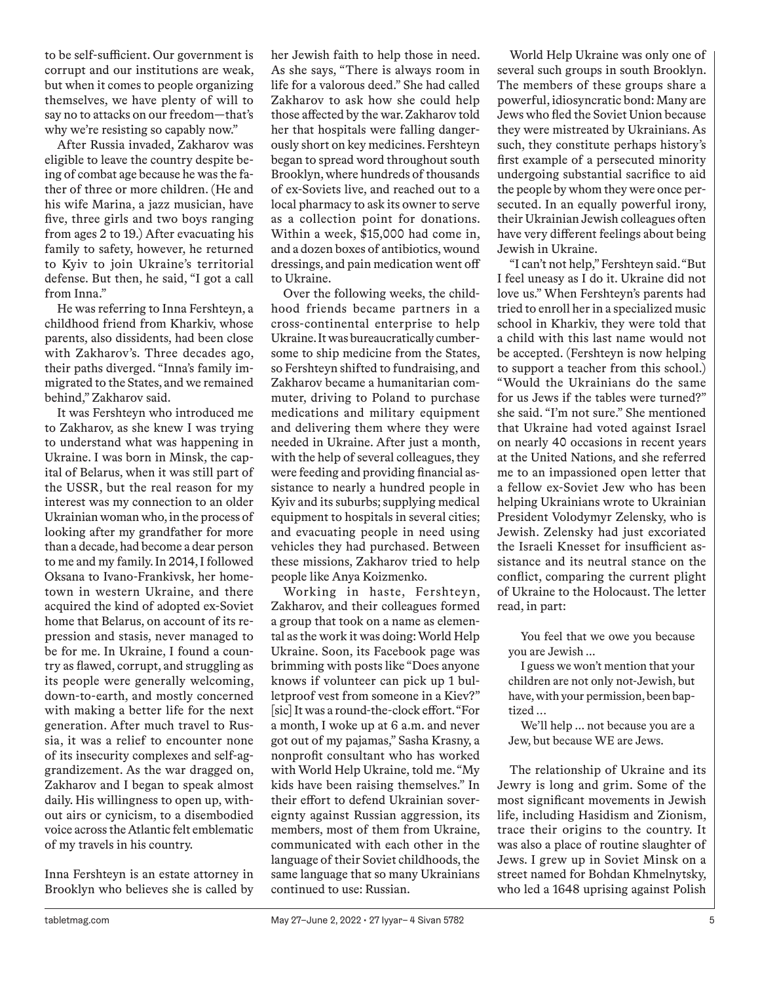to be self-sufficient. Our government is corrupt and our institutions are weak, but when it comes to people organizing themselves, we have plenty of will to say no to attacks on our freedom—that's why we're resisting so capably now."

After Russia invaded, Zakharov was eligible to leave the country despite being of combat age because he was the father of three or more children. (He and his wife Marina, a jazz musician, have five, three girls and two boys ranging from ages 2 to 19.) After evacuating his family to safety, however, he returned to Kyiv to join Ukraine's territorial defense. But then, he said, "I got a call from Inna."

He was referring to Inna Fershteyn, a childhood friend from Kharkiv, whose parents, also dissidents, had been close with Zakharov's. Three decades ago, their paths diverged. "Inna's family immigrated to the States, and we remained behind," Zakharov said.

It was Fershteyn who introduced me to Zakharov, as she knew I was trying to understand what was happening in Ukraine. I was born in Minsk, the capital of Belarus, when it was still part of the USSR, but the real reason for my interest was my connection to an older Ukrainian woman who, in the process of looking after my grandfather for more than a decade, had become a dear person to me and my family. In 2014, I followed Oksana to Ivano-Frankivsk, her hometown in western Ukraine, and there acquired the kind of adopted ex-Soviet home that Belarus, on account of its repression and stasis, never managed to be for me. In Ukraine, I found a country as flawed, corrupt, and struggling as its people were generally welcoming, down-to-earth, and mostly concerned with making a better life for the next generation. After much travel to Russia, it was a relief to encounter none of its insecurity complexes and self-aggrandizement. As the war dragged on, Zakharov and I began to speak almost daily. His willingness to open up, without airs or cynicism, to a disembodied voice across the Atlantic felt emblematic of my travels in his country.

Inna Fershteyn is an estate attorney in Brooklyn who believes she is called by

her Jewish faith to help those in need. As she says, "There is always room in life for a valorous deed." She had called Zakharov to ask how she could help those affected by the war. Zakharov told her that hospitals were falling dangerously short on key medicines. Fershteyn began to spread word throughout south Brooklyn, where hundreds of thousands of ex-Soviets live, and reached out to a local pharmacy to ask its owner to serve as a collection point for donations. Within a week, \$15,000 had come in, and a dozen boxes of antibiotics, wound dressings, and pain medication went off to Ukraine.

Over the following weeks, the childhood friends became partners in a cross-continental enterprise to help Ukraine. It was bureaucratically cumbersome to ship medicine from the States, so Fershteyn shifted to fundraising, and Zakharov became a humanitarian commuter, driving to Poland to purchase medications and military equipment and delivering them where they were needed in Ukraine. After just a month, with the help of several colleagues, they were feeding and providing financial assistance to nearly a hundred people in Kyiv and its suburbs; supplying medical equipment to hospitals in several cities; and evacuating people in need using vehicles they had purchased. Between these missions, Zakharov tried to help people like Anya Koizmenko.

Working in haste, Fershteyn, Zakharov, and their colleagues formed a group that took on a name as elemental as the work it was doing: World Help Ukraine. Soon, its Facebook page was brimming with posts like "Does anyone knows if volunteer can pick up 1 bulletproof vest from someone in a Kiev?" [sic] It was a round-the-clock effort. "For a month, I woke up at 6 a.m. and never got out of my pajamas," Sasha Krasny, a nonprofit consultant who has worked with World Help Ukraine, told me. "My kids have been raising themselves." In their effort to defend Ukrainian sovereignty against Russian aggression, its members, most of them from Ukraine, communicated with each other in the language of their Soviet childhoods, the same language that so many Ukrainians continued to use: Russian.

World Help Ukraine was only one of several such groups in south Brooklyn. The members of these groups share a powerful, idiosyncratic bond: Many are Jews who fled the Soviet Union because they were mistreated by Ukrainians. As such, they constitute perhaps history's first example of a persecuted minority undergoing substantial sacrifice to aid the people by whom they were once persecuted. In an equally powerful irony, their Ukrainian Jewish colleagues often have very different feelings about being Jewish in Ukraine.

"I can't not help," Fershteyn said. "But I feel uneasy as I do it. Ukraine did not love us." When Fershteyn's parents had tried to enroll her in a specialized music school in Kharkiv, they were told that a child with this last name would not be accepted. (Fershteyn is now helping to support a teacher from this school.) "Would the Ukrainians do the same for us Jews if the tables were turned?" she said. "I'm not sure." She mentioned that Ukraine had voted against Israel on nearly 40 occasions in recent years at the United Nations, and she referred me to an impassioned open letter that a fellow ex-Soviet Jew who has been helping Ukrainians wrote to Ukrainian President Volodymyr Zelensky, who is Jewish. Zelensky had just excoriated the Israeli Knesset for insufficient assistance and its neutral stance on the conflict, comparing the current plight of Ukraine to the Holocaust. The letter read, in part:

You feel that we owe you because you are Jewish ...

I guess we won't mention that your children are not only not-Jewish, but have, with your permission, been baptized …

We'll help ... not because you are a Jew, but because WE are Jews.

The relationship of Ukraine and its Jewry is long and grim. Some of the most significant movements in Jewish life, including Hasidism and Zionism, trace their origins to the country. It was also a place of routine slaughter of Jews. I grew up in Soviet Minsk on a street named for Bohdan Khmelnytsky, who led a 1648 uprising against Polish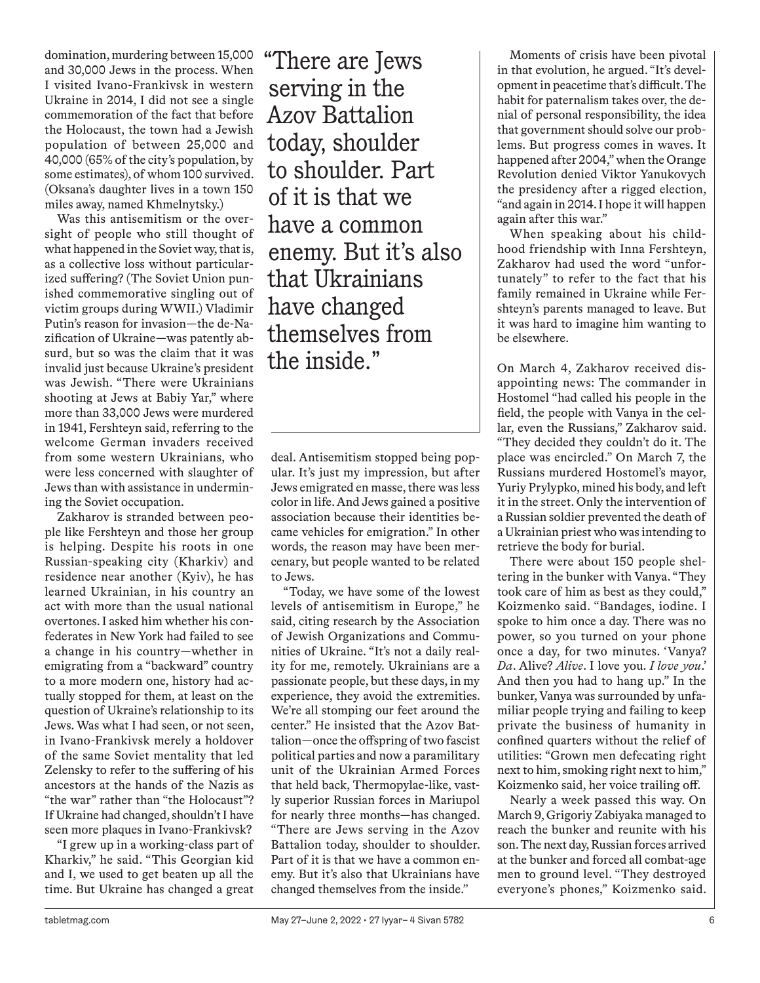domination, murdering between 15,000 and 30,000 Jews in the process. When I visited Ivano-Frankivsk in western Ukraine in 2014, I did not see a single commemoration of the fact that before the Holocaust, the town had a Jewish population of between 25,000 and 40,000 (65% of the city's population, by some estimates), of whom 100 survived. (Oksana's daughter lives in a town 150 miles away, named Khmelnytsky.)

Was this antisemitism or the oversight of people who still thought of what happened in the Soviet way, that is, as a collective loss without particularized suffering? (The Soviet Union punished commemorative singling out of victim groups during WWII.) Vladimir Putin's reason for invasion—the de-Nazification of Ukraine—was patently absurd, but so was the claim that it was invalid just because Ukraine's president was Jewish. "There were Ukrainians shooting at Jews at Babiy Yar," where more than 33,000 Jews were murdered in 1941, Fershteyn said, referring to the welcome German invaders received from some western Ukrainians, who were less concerned with slaughter of Jews than with assistance in undermining the Soviet occupation.

Zakharov is stranded between people like Fershteyn and those her group is helping. Despite his roots in one Russian-speaking city (Kharkiv) and residence near another (Kyiv), he has learned Ukrainian, in his country an act with more than the usual national overtones. I asked him whether his confederates in New York had failed to see a change in his country—whether in emigrating from a "backward" country to a more modern one, history had actually stopped for them, at least on the question of Ukraine's relationship to its Jews. Was what I had seen, or not seen, in Ivano-Frankivsk merely a holdover of the same Soviet mentality that led Zelensky to refer to the suffering of his ancestors at the hands of the Nazis as "the war" rather than "the Holocaust"? If Ukraine had changed, shouldn't I have seen more plaques in Ivano-Frankivsk?

"I grew up in a working-class part of Kharkiv," he said. "This Georgian kid and I, we used to get beaten up all the time. But Ukraine has changed a great "There are Jews serving in the Azov Battalion today, shoulder to shoulder. Part of it is that we have a common enemy. But it's also that Ukrainians have changed themselves from the inside."

deal. Antisemitism stopped being popular. It's just my impression, but after Jews emigrated en masse, there was less color in life. And Jews gained a positive association because their identities became vehicles for emigration." In other words, the reason may have been mercenary, but people wanted to be related to Jews.

"Today, we have some of the lowest levels of antisemitism in Europe," he said, citing research by the Association of Jewish Organizations and Communities of Ukraine. "It's not a daily reality for me, remotely. Ukrainians are a passionate people, but these days, in my experience, they avoid the extremities. We're all stomping our feet around the center." He insisted that the Azov Battalion—once the offspring of two fascist political parties and now a paramilitary unit of the Ukrainian Armed Forces that held back, Thermopylae-like, vastly superior Russian forces in Mariupol for nearly three months—has changed. "There are Jews serving in the Azov Battalion today, shoulder to shoulder. Part of it is that we have a common enemy. But it's also that Ukrainians have changed themselves from the inside."

Moments of crisis have been pivotal in that evolution, he argued. "It's development in peacetime that's difficult. The habit for paternalism takes over, the denial of personal responsibility, the idea that government should solve our problems. But progress comes in waves. It happened after 2004," when the Orange Revolution denied Viktor Yanukovych the presidency after a rigged election, "and again in 2014. I hope it will happen again after this war."

When speaking about his childhood friendship with Inna Fershteyn, Zakharov had used the word "unfortunately" to refer to the fact that his family remained in Ukraine while Fershteyn's parents managed to leave. But it was hard to imagine him wanting to be elsewhere.

On March 4, Zakharov received disappointing news: The commander in Hostomel "had called his people in the field, the people with Vanya in the cellar, even the Russians," Zakharov said. "They decided they couldn't do it. The place was encircled." On March 7, the Russians murdered Hostomel's mayor, Yuriy Prylypko, mined his body, and left it in the street. Only the intervention of a Russian soldier prevented the death of a Ukrainian priest who was intending to retrieve the body for burial.

There were about 150 people sheltering in the bunker with Vanya. "They took care of him as best as they could," Koizmenko said. "Bandages, iodine. I spoke to him once a day. There was no power, so you turned on your phone once a day, for two minutes. 'Vanya? *Da*. Alive? *Alive*. I love you. *I love you*.' And then you had to hang up." In the bunker, Vanya was surrounded by unfamiliar people trying and failing to keep private the business of humanity in confined quarters without the relief of utilities: "Grown men defecating right next to him, smoking right next to him," Koizmenko said, her voice trailing off.

Nearly a week passed this way. On March 9, Grigoriy Zabiyaka managed to reach the bunker and reunite with his son. The next day, Russian forces arrived at the bunker and forced all combat-age men to ground level. "They destroyed everyone's phones," Koizmenko said.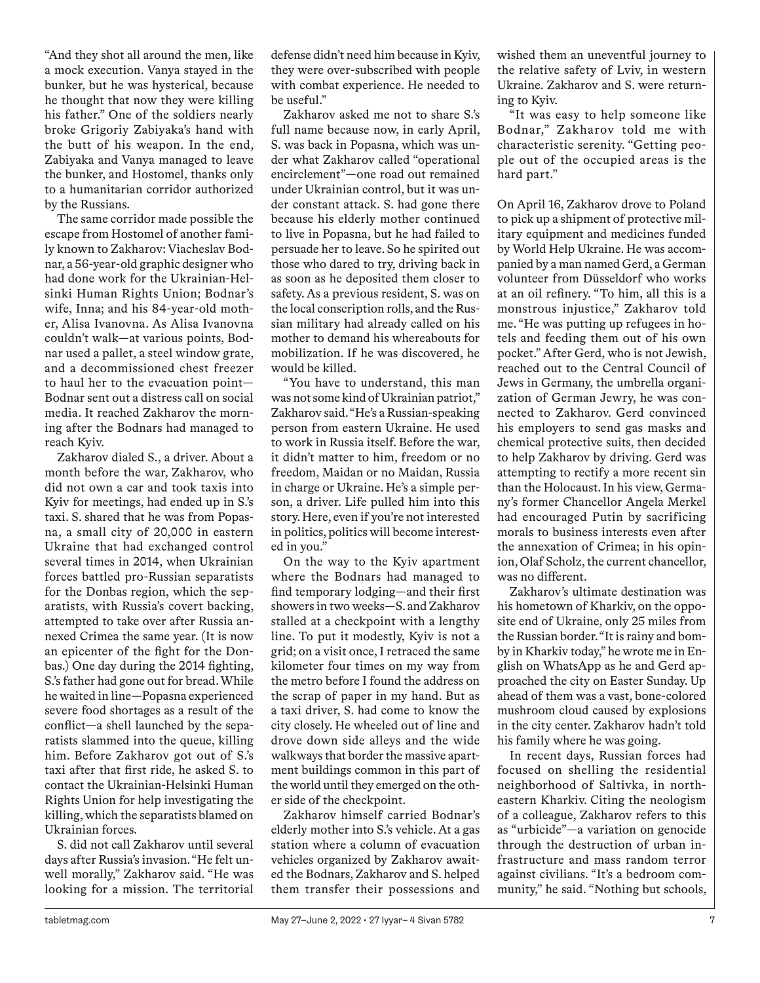"And they shot all around the men, like a mock execution. Vanya stayed in the bunker, but he was hysterical, because he thought that now they were killing his father." One of the soldiers nearly broke Grigoriy Zabiyaka's hand with the butt of his weapon. In the end, Zabiyaka and Vanya managed to leave the bunker, and Hostomel, thanks only to a humanitarian corridor authorized by the Russians.

The same corridor made possible the escape from Hostomel of another family known to Zakharov: Viacheslav Bodnar, a 56-year-old graphic designer who had done work for the Ukrainian-Helsinki Human Rights Union; Bodnar's wife, Inna; and his 84-year-old mother, Alisa Ivanovna. As Alisa Ivanovna couldn't walk—at various points, Bodnar used a pallet, a steel window grate, and a decommissioned chest freezer to haul her to the evacuation point— Bodnar sent out a distress call on social media. It reached Zakharov the morning after the Bodnars had managed to reach Kyiv.

Zakharov dialed S., a driver. About a month before the war, Zakharov, who did not own a car and took taxis into Kyiv for meetings, had ended up in S.'s taxi. S. shared that he was from Popasna, a small city of 20,000 in eastern Ukraine that had exchanged control several times in 2014, when Ukrainian forces battled pro-Russian separatists for the Donbas region, which the separatists, with Russia's covert backing, attempted to take over after Russia annexed Crimea the same year. (It is now an epicenter of the fight for the Donbas.) One day during the 2014 fighting, S.'s father had gone out for bread. While he waited in line—Popasna experienced severe food shortages as a result of the conflict—a shell launched by the separatists slammed into the queue, killing him. Before Zakharov got out of S.'s taxi after that first ride, he asked S. to contact the Ukrainian-Helsinki Human Rights Union for help investigating the killing, which the separatists blamed on Ukrainian forces.

S. did not call Zakharov until several days after Russia's invasion. "He felt unwell morally," Zakharov said. "He was looking for a mission. The territorial

defense didn't need him because in Kyiv, they were over-subscribed with people with combat experience. He needed to be useful."

Zakharov asked me not to share S.'s full name because now, in early April, S. was back in Popasna, which was under what Zakharov called "operational encirclement"—one road out remained under Ukrainian control, but it was under constant attack. S. had gone there because his elderly mother continued to live in Popasna, but he had failed to persuade her to leave. So he spirited out those who dared to try, driving back in as soon as he deposited them closer to safety. As a previous resident, S. was on the local conscription rolls, and the Russian military had already called on his mother to demand his whereabouts for mobilization. If he was discovered, he would be killed.

"You have to understand, this man was not some kind of Ukrainian patriot," Zakharov said. "He's a Russian-speaking person from eastern Ukraine. He used to work in Russia itself. Before the war, it didn't matter to him, freedom or no freedom, Maidan or no Maidan, Russia in charge or Ukraine. He's a simple person, a driver. Life pulled him into this story. Here, even if you're not interested in politics, politics will become interested in you."

On the way to the Kyiv apartment where the Bodnars had managed to find temporary lodging—and their first showers in two weeks—S. and Zakharov stalled at a checkpoint with a lengthy line. To put it modestly, Kyiv is not a grid; on a visit once, I retraced the same kilometer four times on my way from the metro before I found the address on the scrap of paper in my hand. But as a taxi driver, S. had come to know the city closely. He wheeled out of line and drove down side alleys and the wide walkways that border the massive apartment buildings common in this part of the world until they emerged on the other side of the checkpoint.

Zakharov himself carried Bodnar's elderly mother into S.'s vehicle. At a gas station where a column of evacuation vehicles organized by Zakharov awaited the Bodnars, Zakharov and S. helped them transfer their possessions and wished them an uneventful journey to the relative safety of Lviv, in western Ukraine. Zakharov and S. were returning to Kyiv.

"It was easy to help someone like Bodnar," Zakharov told me with characteristic serenity. "Getting people out of the occupied areas is the hard part."

On April 16, Zakharov drove to Poland to pick up a shipment of protective military equipment and medicines funded by World Help Ukraine. He was accompanied by a man named Gerd, a German volunteer from Düsseldorf who works at an oil refinery. "To him, all this is a monstrous injustice," Zakharov told me. "He was putting up refugees in hotels and feeding them out of his own pocket." After Gerd, who is not Jewish, reached out to the Central Council of Jews in Germany, the umbrella organization of German Jewry, he was connected to Zakharov. Gerd convinced his employers to send gas masks and chemical protective suits, then decided to help Zakharov by driving. Gerd was attempting to rectify a more recent sin than the Holocaust. In his view, Germany's former Chancellor Angela Merkel had encouraged Putin by sacrificing morals to business interests even after the annexation of Crimea; in his opinion, Olaf Scholz, the current chancellor, was no different.

Zakharov's ultimate destination was his hometown of Kharkiv, on the opposite end of Ukraine, only 25 miles from the Russian border. "It is rainy and bomby in Kharkiv today," he wrote me in English on WhatsApp as he and Gerd approached the city on Easter Sunday. Up ahead of them was a vast, bone-colored mushroom cloud caused by explosions in the city center. Zakharov hadn't told his family where he was going.

In recent days, Russian forces had focused on shelling the residential neighborhood of Saltivka, in northeastern Kharkiv. Citing the neologism of a colleague, Zakharov refers to this as "urbicide"—a variation on genocide through the destruction of urban infrastructure and mass random terror against civilians. "It's a bedroom community," he said. "Nothing but schools,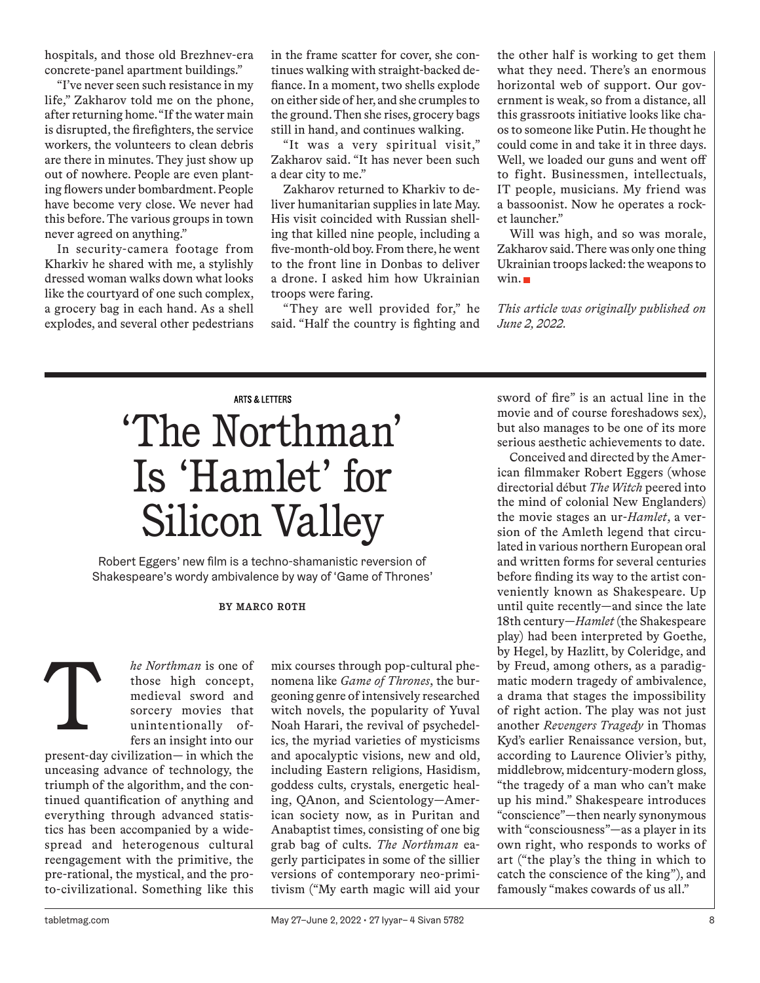hospitals, and those old Brezhnev-era concrete-panel apartment buildings."

"I've never seen such resistance in my life," Zakharov told me on the phone, after returning home. "If the water main is disrupted, the firefighters, the service workers, the volunteers to clean debris are there in minutes. They just show up out of nowhere. People are even planting flowers under bombardment. People have become very close. We never had this before. The various groups in town never agreed on anything."

In security-camera footage from Kharkiv he shared with me, a stylishly dressed woman walks down what looks like the courtyard of one such complex, a grocery bag in each hand. As a shell explodes, and several other pedestrians in the frame scatter for cover, she continues walking with straight-backed defiance. In a moment, two shells explode on either side of her, and she crumples to the ground. Then she rises, grocery bags still in hand, and continues walking.

"It was a very spiritual visit," Zakharov said. "It has never been such a dear city to me."

Zakharov returned to Kharkiv to deliver humanitarian supplies in late May. His visit coincided with Russian shelling that killed nine people, including a five-month-old boy. From there, he went to the front line in Donbas to deliver a drone. I asked him how Ukrainian troops were faring.

"They are well provided for," he said. "Half the country is fighting and

the other half is working to get them what they need. There's an enormous horizontal web of support. Our government is weak, so from a distance, all this grassroots initiative looks like chaos to someone like Putin. He thought he could come in and take it in three days. Well, we loaded our guns and went off to fight. Businessmen, intellectuals, IT people, musicians. My friend was a bassoonist. Now he operates a rocket launcher."

Will was high, and so was morale, Zakharov said. There was only one thing Ukrainian troops lacked: the weapons to win.

*This article was originally published on June 2, 2022.*

# **ARTS & LETTERS** 'The Northman' Is 'Hamlet' for Silicon Valley

Robert Eggers' new film is a techno-shamanistic reversion of Shakespeare's wordy ambivalence by way of 'Game of Thrones'

**BY MARCO ROTH**

*he Northman* is one of those high concept, medieval sword and sorcery movies that unintentionally offers an insight into our

present-day civilization— in which the unceasing advance of technology, the triumph of the algorithm, and the continued quantification of anything and everything through advanced statistics has been accompanied by a widespread and heterogenous cultural reengagement with the primitive, the pre-rational, the mystical, and the proto-civilizational. Something like this T

mix courses through pop-cultural phenomena like *Game of Thrones*, the burgeoning genre of intensively researched witch novels, the popularity of Yuval Noah Harari, the revival of psychedelics, the myriad varieties of mysticisms and apocalyptic visions, new and old, including Eastern religions, Hasidism, goddess cults, crystals, energetic healing, QAnon, and Scientology—American society now, as in Puritan and Anabaptist times, consisting of one big grab bag of cults. *The Northman* eagerly participates in some of the sillier versions of contemporary neo-primitivism ("My earth magic will aid your sword of fire" is an actual line in the movie and of course foreshadows sex), but also manages to be one of its more serious aesthetic achievements to date.

Conceived and directed by the American filmmaker Robert Eggers (whose directorial début *The Witch* peered into the mind of colonial New Englanders) the movie stages an ur-*Hamlet*, a version of the Amleth legend that circulated in various northern European oral and written forms for several centuries before finding its way to the artist conveniently known as Shakespeare. Up until quite recently—and since the late 18th century—*Hamlet* (the Shakespeare play) had been interpreted by Goethe, by Hegel, by Hazlitt, by Coleridge, and by Freud, among others, as a paradigmatic modern tragedy of ambivalence, a drama that stages the impossibility of right action. The play was not just another *Revengers Tragedy* in Thomas Kyd's earlier Renaissance version, but, according to Laurence Olivier's pithy, middlebrow, midcentury-modern gloss, "the tragedy of a man who can't make up his mind." Shakespeare introduces "conscience"—then nearly synonymous with "consciousness"—as a player in its own right, who responds to works of art ("the play's the thing in which to catch the conscience of the king"), and famously "makes cowards of us all."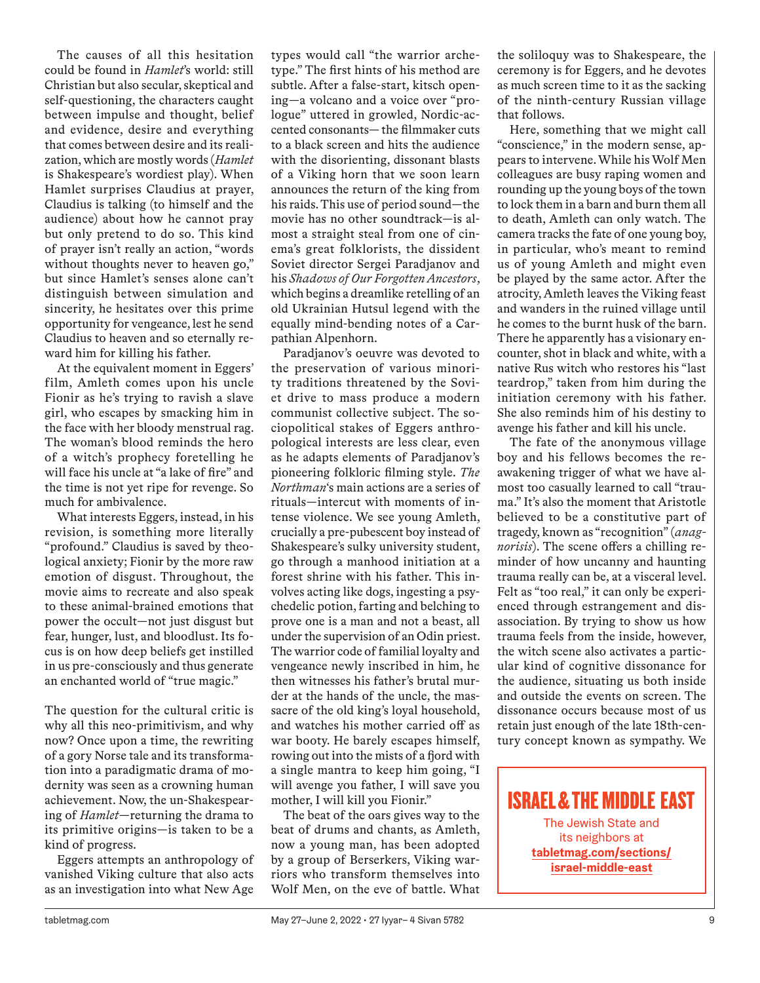The causes of all this hesitation could be found in *Hamlet*'s world: still Christian but also secular, skeptical and self-questioning, the characters caught between impulse and thought, belief and evidence, desire and everything that comes between desire and its realization, which are mostly words (*Hamlet* is Shakespeare's wordiest play). When Hamlet surprises Claudius at prayer, Claudius is talking (to himself and the audience) about how he cannot pray but only pretend to do so. This kind of prayer isn't really an action, "words without thoughts never to heaven go," but since Hamlet's senses alone can't distinguish between simulation and sincerity, he hesitates over this prime opportunity for vengeance, lest he send Claudius to heaven and so eternally reward him for killing his father.

At the equivalent moment in Eggers' film, Amleth comes upon his uncle Fionir as he's trying to ravish a slave girl, who escapes by smacking him in the face with her bloody menstrual rag. The woman's blood reminds the hero of a witch's prophecy foretelling he will face his uncle at "a lake of fire" and the time is not yet ripe for revenge. So much for ambivalence.

What interests Eggers, instead, in his revision, is something more literally "profound." Claudius is saved by theological anxiety; Fionir by the more raw emotion of disgust. Throughout, the movie aims to recreate and also speak to these animal-brained emotions that power the occult—not just disgust but fear, hunger, lust, and bloodlust. Its focus is on how deep beliefs get instilled in us pre-consciously and thus generate an enchanted world of "true magic."

The question for the cultural critic is why all this neo-primitivism, and why now? Once upon a time, the rewriting of a gory Norse tale and its transformation into a paradigmatic drama of modernity was seen as a crowning human achievement. Now, the un-Shakespearing of *Hamlet*—returning the drama to its primitive origins—is taken to be a kind of progress.

Eggers attempts an anthropology of vanished Viking culture that also acts as an investigation into what New Age

types would call "the warrior archetype." The first hints of his method are subtle. After a false-start, kitsch opening—a volcano and a voice over "prologue" uttered in growled, Nordic-accented consonants— the filmmaker cuts to a black screen and hits the audience with the disorienting, dissonant blasts of a Viking horn that we soon learn announces the return of the king from his raids. This use of period sound—the movie has no other soundtrack—is almost a straight steal from one of cinema's great folklorists, the dissident Soviet director Sergei Paradjanov and his *Shadows of Our Forgotten Ancestors*, which begins a dreamlike retelling of an old Ukrainian Hutsul legend with the equally mind-bending notes of a Carpathian Alpenhorn.

Paradjanov's oeuvre was devoted to the preservation of various minority traditions threatened by the Soviet drive to mass produce a modern communist collective subject. The sociopolitical stakes of Eggers anthropological interests are less clear, even as he adapts elements of Paradjanov's pioneering folkloric filming style. *The Northman*'s main actions are a series of rituals—intercut with moments of intense violence. We see young Amleth, crucially a pre-pubescent boy instead of Shakespeare's sulky university student, go through a manhood initiation at a forest shrine with his father. This involves acting like dogs, ingesting a psychedelic potion, farting and belching to prove one is a man and not a beast, all under the supervision of an Odin priest. The warrior code of familial loyalty and vengeance newly inscribed in him, he then witnesses his father's brutal murder at the hands of the uncle, the massacre of the old king's loyal household, and watches his mother carried off as war booty. He barely escapes himself, rowing out into the mists of a fjord with a single mantra to keep him going, "I will avenge you father, I will save you mother, I will kill you Fionir."

The beat of the oars gives way to the beat of drums and chants, as Amleth, now a young man, has been adopted by a group of Berserkers, Viking warriors who transform themselves into Wolf Men, on the eve of battle. What

the soliloquy was to Shakespeare, the ceremony is for Eggers, and he devotes as much screen time to it as the sacking of the ninth-century Russian village that follows.

Here, something that we might call "conscience," in the modern sense, appears to intervene. While his Wolf Men colleagues are busy raping women and rounding up the young boys of the town to lock them in a barn and burn them all to death, Amleth can only watch. The camera tracks the fate of one young boy, in particular, who's meant to remind us of young Amleth and might even be played by the same actor. After the atrocity, Amleth leaves the Viking feast and wanders in the ruined village until he comes to the burnt husk of the barn. There he apparently has a visionary encounter, shot in black and white, with a native Rus witch who restores his "last teardrop," taken from him during the initiation ceremony with his father. She also reminds him of his destiny to avenge his father and kill his uncle.

The fate of the anonymous village boy and his fellows becomes the reawakening trigger of what we have almost too casually learned to call "trauma." It's also the moment that Aristotle believed to be a constitutive part of tragedy, known as "recognition" (*anagnorisis*). The scene offers a chilling reminder of how uncanny and haunting trauma really can be, at a visceral level. Felt as "too real," it can only be experienced through estrangement and disassociation. By trying to show us how trauma feels from the inside, however, the witch scene also activates a particular kind of cognitive dissonance for the audience, situating us both inside and outside the events on screen. The dissonance occurs because most of us retain just enough of the late 18th-century concept known as sympathy. We

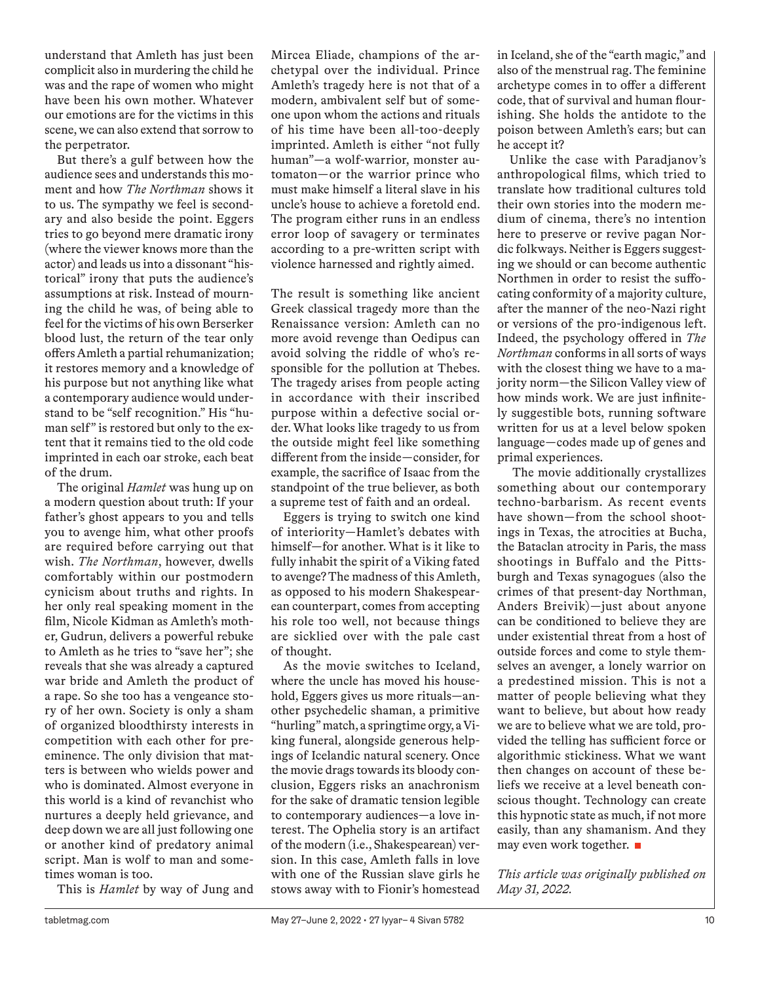understand that Amleth has just been complicit also in murdering the child he was and the rape of women who might have been his own mother. Whatever our emotions are for the victims in this scene, we can also extend that sorrow to the perpetrator.

But there's a gulf between how the audience sees and understands this moment and how *The Northman* shows it to us. The sympathy we feel is secondary and also beside the point. Eggers tries to go beyond mere dramatic irony (where the viewer knows more than the actor) and leads us into a dissonant "historical" irony that puts the audience's assumptions at risk. Instead of mourning the child he was, of being able to feel for the victims of his own Berserker blood lust, the return of the tear only offers Amleth a partial rehumanization; it restores memory and a knowledge of his purpose but not anything like what a contemporary audience would understand to be "self recognition." His "human self" is restored but only to the extent that it remains tied to the old code imprinted in each oar stroke, each beat of the drum.

The original *Hamlet* was hung up on a modern question about truth: If your father's ghost appears to you and tells you to avenge him, what other proofs are required before carrying out that wish. *The Northman*, however, dwells comfortably within our postmodern cynicism about truths and rights. In her only real speaking moment in the film, Nicole Kidman as Amleth's mother, Gudrun, delivers a powerful rebuke to Amleth as he tries to "save her"; she reveals that she was already a captured war bride and Amleth the product of a rape. So she too has a vengeance story of her own. Society is only a sham of organized bloodthirsty interests in competition with each other for preeminence. The only division that matters is between who wields power and who is dominated. Almost everyone in this world is a kind of revanchist who nurtures a deeply held grievance, and deep down we are all just following one or another kind of predatory animal script. Man is wolf to man and sometimes woman is too.

This is *Hamlet* by way of Jung and

Mircea Eliade, champions of the archetypal over the individual. Prince Amleth's tragedy here is not that of a modern, ambivalent self but of someone upon whom the actions and rituals of his time have been all-too-deeply imprinted. Amleth is either "not fully human"—a wolf-warrior, monster automaton—or the warrior prince who must make himself a literal slave in his uncle's house to achieve a foretold end. The program either runs in an endless error loop of savagery or terminates according to a pre-written script with violence harnessed and rightly aimed.

The result is something like ancient Greek classical tragedy more than the Renaissance version: Amleth can no more avoid revenge than Oedipus can avoid solving the riddle of who's responsible for the pollution at Thebes. The tragedy arises from people acting in accordance with their inscribed purpose within a defective social order. What looks like tragedy to us from the outside might feel like something different from the inside—consider, for example, the sacrifice of Isaac from the standpoint of the true believer, as both a supreme test of faith and an ordeal.

Eggers is trying to switch one kind of interiority—Hamlet's debates with himself—for another. What is it like to fully inhabit the spirit of a Viking fated to avenge? The madness of this Amleth, as opposed to his modern Shakespearean counterpart, comes from accepting his role too well, not because things are sicklied over with the pale cast of thought.

As the movie switches to Iceland, where the uncle has moved his household, Eggers gives us more rituals—another psychedelic shaman, a primitive "hurling" match, a springtime orgy, a Viking funeral, alongside generous helpings of Icelandic natural scenery. Once the movie drags towards its bloody conclusion, Eggers risks an anachronism for the sake of dramatic tension legible to contemporary audiences—a love interest. The Ophelia story is an artifact of the modern (i.e., Shakespearean) version. In this case, Amleth falls in love with one of the Russian slave girls he stows away with to Fionir's homestead in Iceland, she of the "earth magic," and also of the menstrual rag. The feminine archetype comes in to offer a different code, that of survival and human flourishing. She holds the antidote to the poison between Amleth's ears; but can he accept it?

Unlike the case with Paradjanov's anthropological films, which tried to translate how traditional cultures told their own stories into the modern medium of cinema, there's no intention here to preserve or revive pagan Nordic folkways. Neither is Eggers suggesting we should or can become authentic Northmen in order to resist the suffocating conformity of a majority culture, after the manner of the neo-Nazi right or versions of the pro-indigenous left. Indeed, the psychology offered in *The Northman* conforms in all sorts of ways with the closest thing we have to a majority norm—the Silicon Valley view of how minds work. We are just infinitely suggestible bots, running software written for us at a level below spoken language—codes made up of genes and primal experiences.

The movie additionally crystallizes something about our contemporary techno-barbarism. As recent events have shown—from the school shootings in Texas, the atrocities at Bucha, the Bataclan atrocity in Paris, the mass shootings in Buffalo and the Pittsburgh and Texas synagogues (also the crimes of that present-day Northman, Anders Breivik)—just about anyone can be conditioned to believe they are under existential threat from a host of outside forces and come to style themselves an avenger, a lonely warrior on a predestined mission. This is not a matter of people believing what they want to believe, but about how ready we are to believe what we are told, provided the telling has sufficient force or algorithmic stickiness. What we want then changes on account of these beliefs we receive at a level beneath conscious thought. Technology can create this hypnotic state as much, if not more easily, than any shamanism. And they may even work together.

*This article was originally published on May 31, 2022.*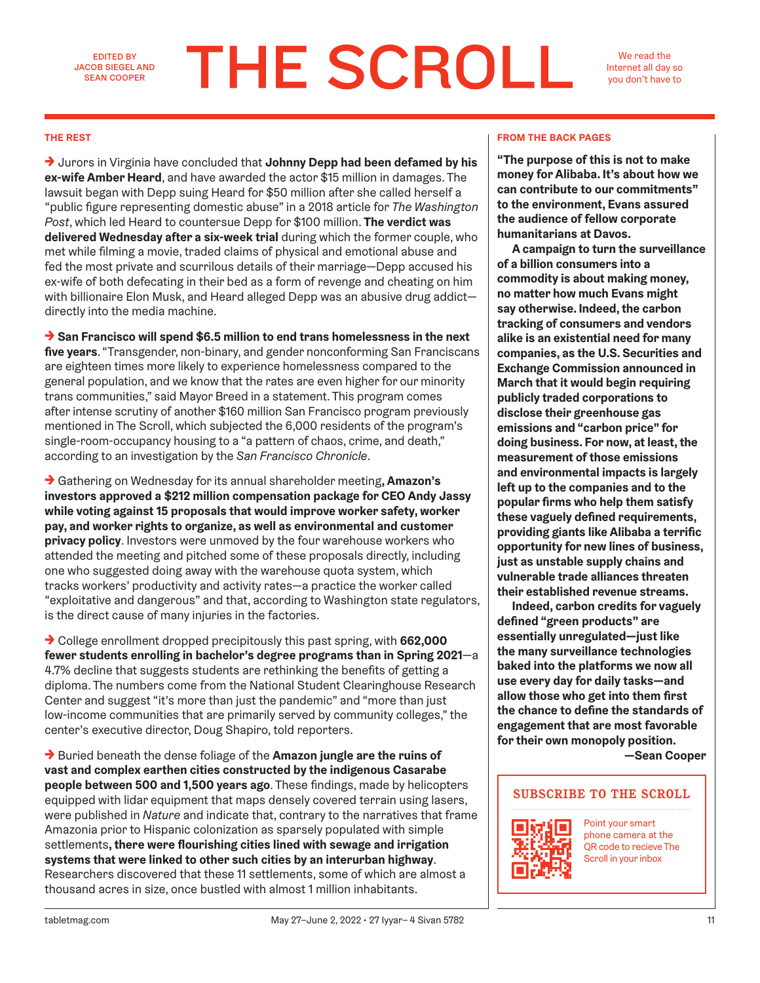EDITED BY JACOB SIEGEL AND SEAN COOPER

# **THE SCROLL**

We read the Internet all day so you don't have to

→ Jurors in Virginia have concluded that **Johnny Depp had been defamed by his ex-wife Amber Heard**, and have awarded the actor \$15 million in damages. The lawsuit began with Depp suing Heard for \$50 million after she called herself a "public figure representing domestic abuse" in a 2018 article for *The Washington Post*, which led Heard to countersue Depp for \$100 million. **The verdict was delivered Wednesday after a six-week trial** during which the former couple, who met while filming a movie, traded claims of physical and emotional abuse and fed the most private and scurrilous details of their marriage—Depp accused his ex-wife of both defecating in their bed as a form of revenge and cheating on him with billionaire Elon Musk, and Heard alleged Depp was an abusive drug addict directly into the media machine.

→ **San Francisco will spend \$6.5 million to end trans homelessness in the next five years**. "Transgender, non-binary, and gender nonconforming San Franciscans are eighteen times more likely to experience homelessness compared to the general population, and we know that the rates are even higher for our minority trans communities," said Mayor Breed in a statement. This program comes after intense scrutiny of another \$160 million San Francisco program previously mentioned in The Scroll, which subjected the 6,000 residents of the program's single-room-occupancy housing to a "a pattern of chaos, crime, and death," according to an investigation by the *San Francisco Chronicle*.

→ Gathering on Wednesday for its annual shareholder meeting**, Amazon's investors approved a \$212 million compensation package for CEO Andy Jassy while voting against 15 proposals that would improve worker safety, worker pay, and worker rights to organize, as well as environmental and customer privacy policy**. Investors were unmoved by the four warehouse workers who attended the meeting and pitched some of these proposals directly, including one who suggested doing away with the warehouse quota system, which tracks workers' productivity and activity rates—a practice the worker called "exploitative and dangerous" and that, according to Washington state regulators, is the direct cause of many injuries in the factories.

→ College enrollment dropped precipitously this past spring, with **662,000 fewer students enrolling in bachelor's degree programs than in Spring 2021**—a 4.7% decline that suggests students are rethinking the benefits of getting a diploma. The numbers come from the National Student Clearinghouse Research Center and suggest "it's more than just the pandemic" and "more than just low-income communities that are primarily served by community colleges," the center's executive director, Doug Shapiro, told reporters.

→ Buried beneath the dense foliage of the **Amazon jungle are the ruins of vast and complex earthen cities constructed by the indigenous Casarabe people between 500 and 1,500 years ago**. These findings, made by helicopters equipped with lidar equipment that maps densely covered terrain using lasers, were published in *Nature* and indicate that, contrary to the narratives that frame Amazonia prior to Hispanic colonization as sparsely populated with simple settlements**, there were flourishing cities lined with sewage and irrigation systems that were linked to other such cities by an interurban highway**. Researchers discovered that these 11 settlements, some of which are almost a thousand acres in size, once bustled with almost 1 million inhabitants.

#### **THE REST FROM THE BACK PAGES**

**"The purpose of this is not to make money for Alibaba. It's about how we can contribute to our commitments" to the environment, Evans assured the audience of fellow corporate humanitarians at Davos.** 

**A campaign to turn the surveillance of a billion consumers into a commodity is about making money, no matter how much Evans might say otherwise. Indeed, the carbon tracking of consumers and vendors alike is an existential need for many companies, as the U.S. Securities and Exchange Commission announced in March that it would begin requiring publicly traded corporations to disclose their greenhouse gas emissions and "carbon price" for doing business. For now, at least, the measurement of those emissions and environmental impacts is largely left up to the companies and to the popular firms who help them satisfy these vaguely defined requirements, providing giants like Alibaba a terrific opportunity for new lines of business, just as unstable supply chains and vulnerable trade alliances threaten their established revenue streams.** 

**Indeed, carbon credits for vaguely defined "green products" are essentially unregulated—just like the many surveillance technologies baked into the platforms we now all use every day for daily tasks—and allow those who get into them first the chance to define the standards of engagement that are most favorable for their own monopoly position.** 

**—Sean Cooper**

#### **SUBSCRIBE TO THE SCROLL**



Point your smart phone camera at the QR code to recieve The Scroll in your inbox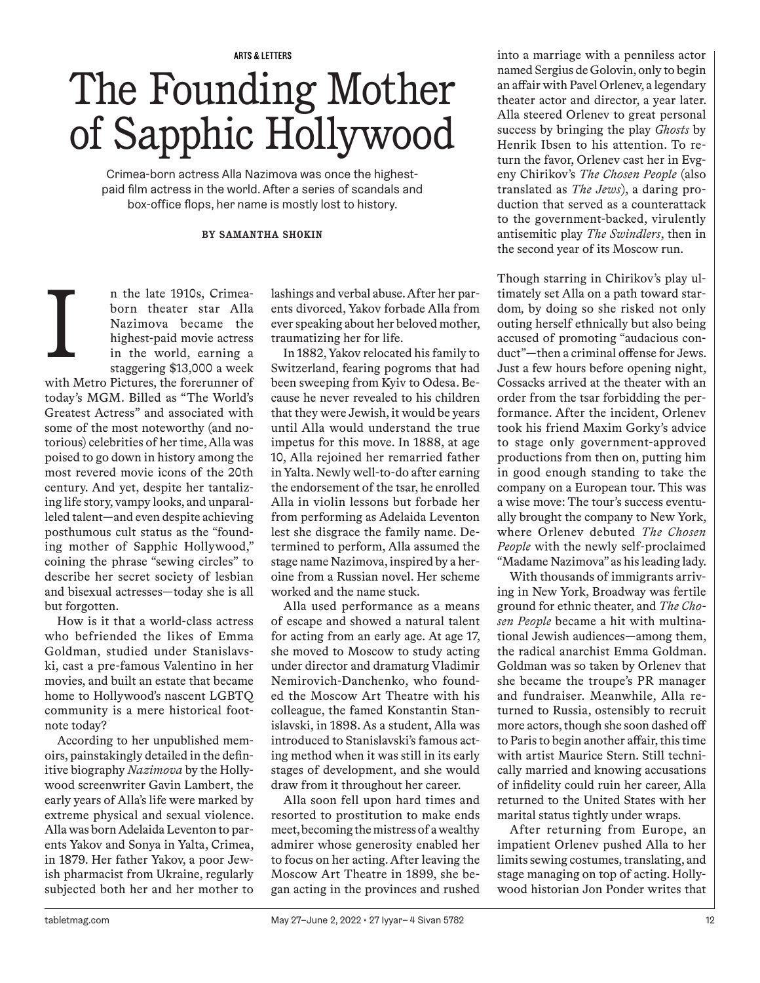**ARTS & LETTERS** 

# The Founding Mother of Sapphic Hollywood

Crimea-born actress Alla Nazimova was once the highestpaid film actress in the world. After a series of scandals and box-office flops, her name is mostly lost to history.

#### **BY SAMANTHA SHOKIN**

n the late 1910s, Crimeaborn theater star Alla Nazimova became the highest-paid movie actress in the world, earning a staggering \$13,000 a week

with Metro Pictures, the forerunner of today's MGM. Billed as "The World's Greatest Actress" and associated with some of the most noteworthy (and notorious) celebrities of her time, Alla was poised to go down in history among the most revered movie icons of the 20th century. And yet, despite her tantalizing life story, vampy looks, and unparalleled talent—and even despite achieving posthumous cult status as the "founding mother of Sapphic Hollywood," coining the phrase "sewing circles" to describe her secret society of lesbian and bisexual actresses—today she is all but forgotten. I

How is it that a world-class actress who befriended the likes of Emma Goldman, studied under Stanislavski, cast a pre-famous Valentino in her movies, and built an estate that became home to Hollywood's nascent LGBTQ community is a mere historical footnote today?

According to her unpublished memoirs, painstakingly detailed in the definitive biography *Nazimova* by the Hollywood screenwriter Gavin Lambert, the early years of Alla's life were marked by extreme physical and sexual violence. Alla was born Adelaida Leventon to parents Yakov and Sonya in Yalta, Crimea, in 1879. Her father Yakov, a poor Jewish pharmacist from Ukraine, regularly subjected both her and her mother to

lashings and verbal abuse. After her parents divorced, Yakov forbade Alla from ever speaking about her beloved mother, traumatizing her for life.

In 1882, Yakov relocated his family to Switzerland, fearing pogroms that had been sweeping from Kyiv to Odesa. Because he never revealed to his children that they were Jewish, it would be years until Alla would understand the true impetus for this move. In 1888, at age 10, Alla rejoined her remarried father in Yalta. Newly well-to-do after earning the endorsement of the tsar, he enrolled Alla in violin lessons but forbade her from performing as Adelaida Leventon lest she disgrace the family name. Determined to perform, Alla assumed the stage name Nazimova, inspired by a heroine from a Russian novel. Her scheme worked and the name stuck.

Alla used performance as a means of escape and showed a natural talent for acting from an early age. At age 17, she moved to Moscow to study acting under director and dramaturg Vladimir Nemirovich-Danchenko, who founded the Moscow Art Theatre with his colleague, the famed Konstantin Stanislavski, in 1898. As a student, Alla was introduced to Stanislavski's famous acting method when it was still in its early stages of development, and she would draw from it throughout her career.

Alla soon fell upon hard times and resorted to prostitution to make ends meet, becoming the mistress of a wealthy admirer whose generosity enabled her to focus on her acting. After leaving the Moscow Art Theatre in 1899, she began acting in the provinces and rushed into a marriage with a penniless actor named Sergius de Golovin, only to begin an affair with Pavel Orlenev, a legendary theater actor and director, a year later. Alla steered Orlenev to great personal success by bringing the play *Ghosts* by Henrik Ibsen to his attention. To return the favor, Orlenev cast her in Evgeny Chirikov's *The Chosen People* (also translated as *The Jews*), a daring production that served as a counterattack to the government-backed, virulently antisemitic play *The Swindlers*, then in the second year of its Moscow run.

Though starring in Chirikov's play ultimately set Alla on a path toward stardom*,* by doing so she risked not only outing herself ethnically but also being accused of promoting "audacious conduct"—then a criminal offense for Jews. Just a few hours before opening night, Cossacks arrived at the theater with an order from the tsar forbidding the performance. After the incident, Orlenev took his friend Maxim Gorky's advice to stage only government-approved productions from then on, putting him in good enough standing to take the company on a European tour. This was a wise move: The tour's success eventually brought the company to New York, where Orlenev debuted *The Chosen People* with the newly self-proclaimed "Madame Nazimova" as his leading lady.

With thousands of immigrants arriving in New York, Broadway was fertile ground for ethnic theater, and *The Chosen People* became a hit with multinational Jewish audiences—among them, the radical anarchist Emma Goldman. Goldman was so taken by Orlenev that she became the troupe's PR manager and fundraiser. Meanwhile, Alla returned to Russia, ostensibly to recruit more actors, though she soon dashed off to Paris to begin another affair, this time with artist Maurice Stern. Still technically married and knowing accusations of infidelity could ruin her career, Alla returned to the United States with her marital status tightly under wraps.

After returning from Europe, an impatient Orlenev pushed Alla to her limits sewing costumes, translating, and stage managing on top of acting. Hollywood historian Jon Ponder writes that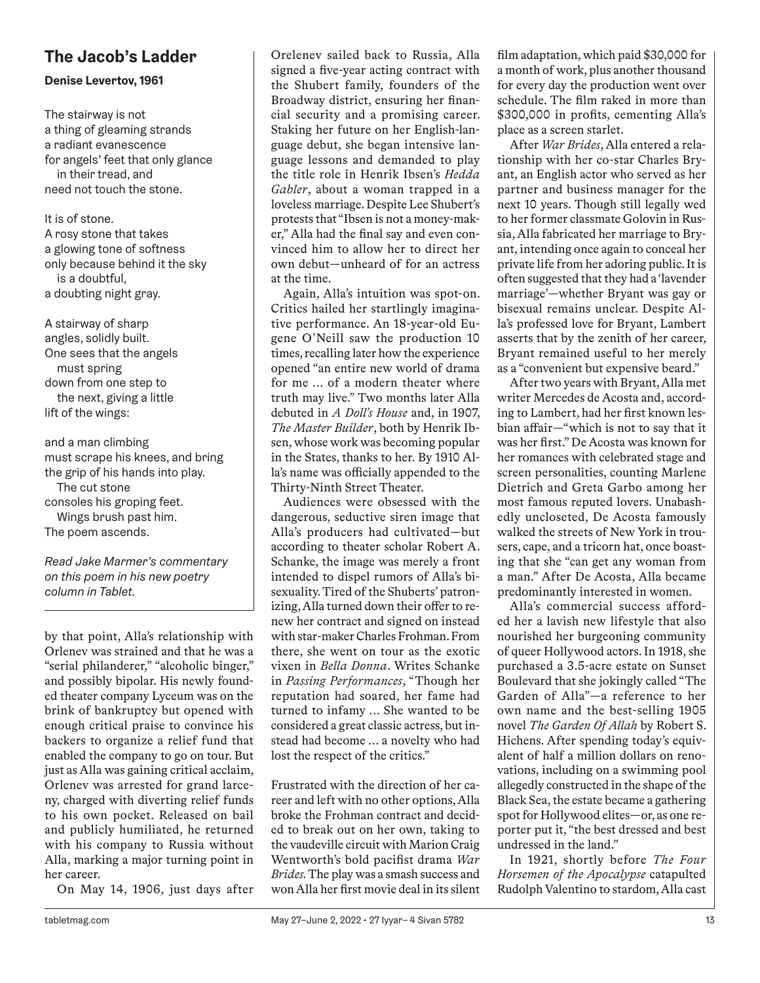#### **The Jacob's Ladder**

#### **Denise Levertov, 1961**

The stairway is not a thing of gleaming strands a radiant evanescence for angels' feet that only glance in their tread, and need not touch the stone.

It is of stone. A rosy stone that takes a glowing tone of softness only because behind it the sky is a doubtful, a doubting night gray.

A stairway of sharp angles, solidly built. One sees that the angels must spring down from one step to the next, giving a little lift of the wings:

and a man climbing must scrape his knees, and bring the grip of his hands into play. The cut stone consoles his groping feet. Wings brush past him. The poem ascends.

*Read Jake Marmer's commentary on this poem in his new poetry column in Tablet.*

by that point, Alla's relationship with Orlenev was strained and that he was a "serial philanderer," "alcoholic binger," and possibly bipolar. His newly founded theater company Lyceum was on the brink of bankruptcy but opened with enough critical praise to convince his backers to organize a relief fund that enabled the company to go on tour. But just as Alla was gaining critical acclaim, Orlenev was arrested for grand larceny, charged with diverting relief funds to his own pocket. Released on bail and publicly humiliated, he returned with his company to Russia without Alla, marking a major turning point in her career.

On May 14, 1906, just days after

Orelenev sailed back to Russia, Alla signed a five-year acting contract with the Shubert family, founders of the Broadway district, ensuring her financial security and a promising career. Staking her future on her English-language debut, she began intensive language lessons and demanded to play the title role in Henrik Ibsen's *Hedda Gabler*, about a woman trapped in a loveless marriage. Despite Lee Shubert's protests that "Ibsen is not a money-maker," Alla had the final say and even convinced him to allow her to direct her own debut—unheard of for an actress at the time.

Again, Alla's intuition was spot-on. Critics hailed her startlingly imaginative performance. An 18-year-old Eugene O'Neill saw the production 10 times, recalling later how the experience opened "an entire new world of drama for me … of a modern theater where truth may live." Two months later Alla debuted in *A Doll's House* and, in 1907, *The Master Builder*, both by Henrik Ibsen, whose work was becoming popular in the States, thanks to her*.* By 1910 Alla's name was officially appended to the Thirty-Ninth Street Theater.

Audiences were obsessed with the dangerous, seductive siren image that Alla's producers had cultivated—but according to theater scholar Robert A. Schanke, the image was merely a front intended to dispel rumors of Alla's bisexuality. Tired of the Shuberts' patronizing, Alla turned down their offer to renew her contract and signed on instead with star-maker Charles Frohman. From there, she went on tour as the exotic vixen in *Bella Donna*. Writes Schanke in *Passing Performances*, "Though her reputation had soared, her fame had turned to infamy … She wanted to be considered a great classic actress, but instead had become … a novelty who had lost the respect of the critics."

Frustrated with the direction of her career and left with no other options, Alla broke the Frohman contract and decided to break out on her own, taking to the vaudeville circuit with Marion Craig Wentworth's bold pacifist drama *War Brides.* The play was a smash success and won Alla her first movie deal in its silent film adaptation, which paid \$30,000 for a month of work, plus another thousand for every day the production went over schedule. The film raked in more than \$300,000 in profits, cementing Alla's place as a screen starlet.

After *War Brides*, Alla entered a relationship with her co-star Charles Bryant, an English actor who served as her partner and business manager for the next 10 years. Though still legally wed to her former classmate Golovin in Russia, Alla fabricated her marriage to Bryant, intending once again to conceal her private life from her adoring public. It is often suggested that they had a 'lavender marriage'—whether Bryant was gay or bisexual remains unclear. Despite Alla's professed love for Bryant, Lambert asserts that by the zenith of her career, Bryant remained useful to her merely as a "convenient but expensive beard."

After two years with Bryant, Alla met writer Mercedes de Acosta and, according to Lambert, had her first known lesbian affair—"which is not to say that it was her first." De Acosta was known for her romances with celebrated stage and screen personalities, counting Marlene Dietrich and Greta Garbo among her most famous reputed lovers. Unabashedly uncloseted, De Acosta famously walked the streets of New York in trousers, cape, and a tricorn hat, once boasting that she "can get any woman from a man." After De Acosta, Alla became predominantly interested in women.

Alla's commercial success afforded her a lavish new lifestyle that also nourished her burgeoning community of queer Hollywood actors. In 1918, she purchased a 3.5-acre estate on Sunset Boulevard that she jokingly called "The Garden of Alla"—a reference to her own name and the best-selling 1905 novel *The Garden Of Allah* by Robert S. Hichens. After spending today's equivalent of half a million dollars on renovations, including on a swimming pool allegedly constructed in the shape of the Black Sea, the estate became a gathering spot for Hollywood elites—or, as one reporter put it, "the best dressed and best undressed in the land."

In 1921, shortly before *The Four Horsemen of the Apocalypse* catapulted Rudolph Valentino to stardom, Alla cast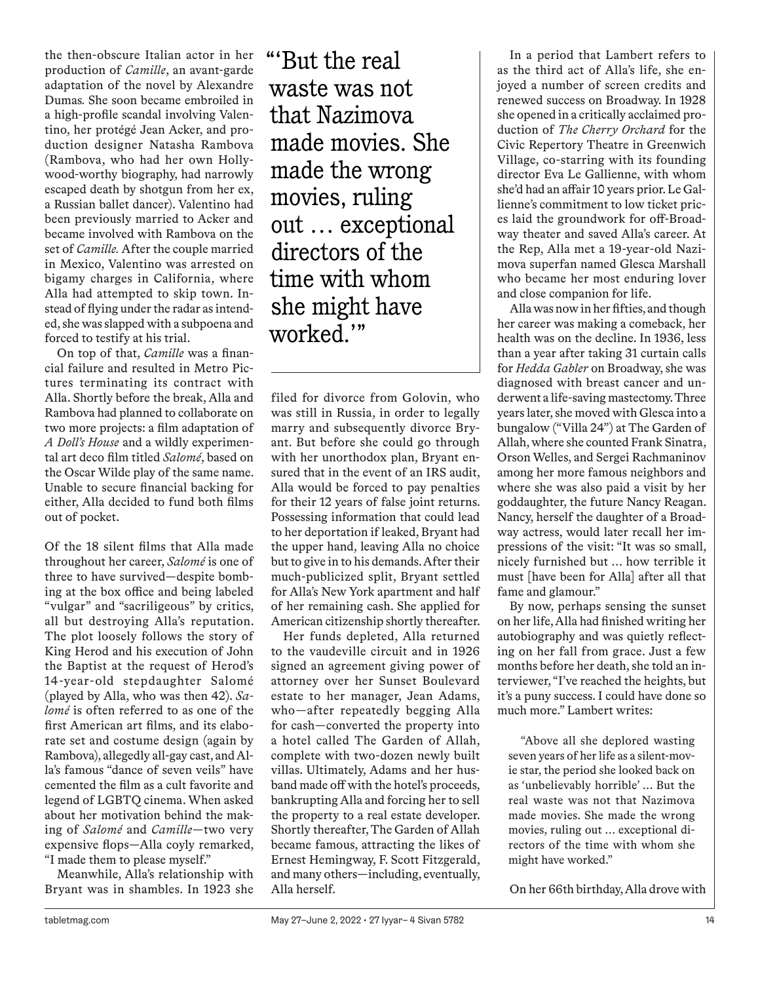the then-obscure Italian actor in her production of *Camille*, an avant-garde adaptation of the novel by Alexandre Dumas*.* She soon became embroiled in a high-profile scandal involving Valentino, her protégé Jean Acker, and production designer Natasha Rambova (Rambova, who had her own Hollywood-worthy biography, had narrowly escaped death by shotgun from her ex, a Russian ballet dancer). Valentino had been previously married to Acker and became involved with Rambova on the set of *Camille.* After the couple married in Mexico, Valentino was arrested on bigamy charges in California, where Alla had attempted to skip town. Instead of flying under the radar as intended, she was slapped with a subpoena and forced to testify at his trial.

On top of that, *Camille* was a financial failure and resulted in Metro Pictures terminating its contract with Alla. Shortly before the break, Alla and Rambova had planned to collaborate on two more projects: a film adaptation of *A Doll's House* and a wildly experimental art deco film titled *Salomé*, based on the Oscar Wilde play of the same name. Unable to secure financial backing for either, Alla decided to fund both films out of pocket.

Of the 18 silent films that Alla made throughout her career, *Salomé* is one of three to have survived—despite bombing at the box office and being labeled "vulgar" and "sacriligeous" by critics, all but destroying Alla's reputation. The plot loosely follows the story of King Herod and his execution of John the Baptist at the request of Herod's 14-year-old stepdaughter Salomé (played by Alla, who was then 42). *Salomé* is often referred to as one of the first American art films, and its elaborate set and costume design (again by Rambova), allegedly all-gay cast, and Alla's famous "dance of seven veils" have cemented the film as a cult favorite and legend of LGBTQ cinema. When asked about her motivation behind the making of *Salomé* and *Camille*—two very expensive flops—Alla coyly remarked, "I made them to please myself."

Meanwhile, Alla's relationship with Bryant was in shambles. In 1923 she "'But the real waste was not that Nazimova made movies. She made the wrong movies, ruling out … exceptional directors of the time with whom she might have worked.'"

filed for divorce from Golovin, who was still in Russia, in order to legally marry and subsequently divorce Bryant. But before she could go through with her unorthodox plan, Bryant ensured that in the event of an IRS audit, Alla would be forced to pay penalties for their 12 years of false joint returns. Possessing information that could lead to her deportation if leaked, Bryant had the upper hand, leaving Alla no choice but to give in to his demands. After their much-publicized split, Bryant settled for Alla's New York apartment and half of her remaining cash. She applied for American citizenship shortly thereafter.

Her funds depleted, Alla returned to the vaudeville circuit and in 1926 signed an agreement giving power of attorney over her Sunset Boulevard estate to her manager, Jean Adams, who—after repeatedly begging Alla for cash—converted the property into a hotel called The Garden of Allah, complete with two-dozen newly built villas. Ultimately, Adams and her husband made off with the hotel's proceeds, bankrupting Alla and forcing her to sell the property to a real estate developer. Shortly thereafter, The Garden of Allah became famous, attracting the likes of Ernest Hemingway, F. Scott Fitzgerald, and many others—including, eventually, Alla herself.

In a period that Lambert refers to as the third act of Alla's life, she enjoyed a number of screen credits and renewed success on Broadway. In 1928 she opened in a critically acclaimed production of *The Cherry Orchard* for the Civic Repertory Theatre in Greenwich Village, co-starring with its founding director Eva Le Gallienne, with whom she'd had an affair 10 years prior. Le Gallienne's commitment to low ticket prices laid the groundwork for off-Broadway theater and saved Alla's career. At the Rep, Alla met a 19-year-old Nazimova superfan named Glesca Marshall who became her most enduring lover and close companion for life.

Alla was now in her fifties, and though her career was making a comeback, her health was on the decline. In 1936, less than a year after taking 31 curtain calls for *Hedda Gabler* on Broadway, she was diagnosed with breast cancer and underwent a life-saving mastectomy. Three years later, she moved with Glesca into a bungalow ("Villa 24") at The Garden of Allah, where she counted Frank Sinatra, Orson Welles, and Sergei Rachmaninov among her more famous neighbors and where she was also paid a visit by her goddaughter, the future Nancy Reagan. Nancy, herself the daughter of a Broadway actress, would later recall her impressions of the visit: "It was so small, nicely furnished but … how terrible it must [have been for Alla] after all that fame and glamour."

By now, perhaps sensing the sunset on her life, Alla had finished writing her autobiography and was quietly reflecting on her fall from grace. Just a few months before her death, she told an interviewer, "I've reached the heights, but it's a puny success. I could have done so much more." Lambert writes:

"Above all she deplored wasting seven years of her life as a silent-movie star, the period she looked back on as 'unbelievably horrible' ... But the real waste was not that Nazimova made movies. She made the wrong movies, ruling out … exceptional directors of the time with whom she might have worked."

On her 66th birthday, Alla drove with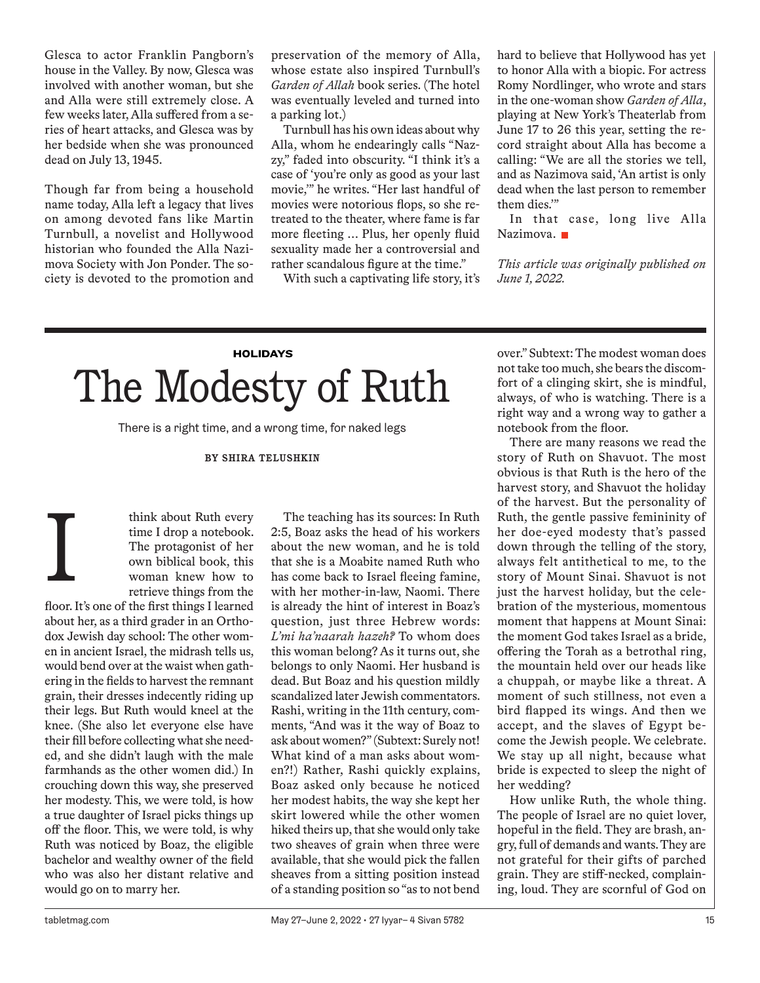Glesca to actor Franklin Pangborn's house in the Valley. By now, Glesca was involved with another woman, but she and Alla were still extremely close. A few weeks later, Alla suffered from a series of heart attacks, and Glesca was by her bedside when she was pronounced dead on July 13, 1945.

Though far from being a household name today, Alla left a legacy that lives on among devoted fans like Martin Turnbull, a novelist and Hollywood historian who founded the Alla Nazimova Society with Jon Ponder. The society is devoted to the promotion and preservation of the memory of Alla, whose estate also inspired Turnbull's *Garden of Allah* book series. (The hotel was eventually leveled and turned into a parking lot.)

Turnbull has his own ideas about why Alla, whom he endearingly calls "Nazzy," faded into obscurity. "I think it's a case of 'you're only as good as your last movie,'" he writes. "Her last handful of movies were notorious flops, so she retreated to the theater, where fame is far more fleeting … Plus, her openly fluid sexuality made her a controversial and rather scandalous figure at the time."

With such a captivating life story, it's

hard to believe that Hollywood has yet to honor Alla with a biopic. For actress Romy Nordlinger, who wrote and stars in the one-woman show *Garden of Alla*, playing at New York's Theaterlab from June 17 to 26 this year, setting the record straight about Alla has become a calling: "We are all the stories we tell, and as Nazimova said, 'An artist is only dead when the last person to remember them dies.'"

In that case, long live Alla Nazimova.

*This article was originally published on June 1, 2022.*

## **HOLIDAYS** The Modesty of Ruth

There is a right time, and a wrong time, for naked legs

#### **BY SHIRA TELUSHKIN**

think about Ruth every time I drop a notebook. The protagonist of her own biblical book, this woman knew how to retrieve things from the

floor. It's one of the first things I learned about her, as a third grader in an Orthodox Jewish day school: The other women in ancient Israel, the midrash tells us, would bend over at the waist when gathering in the fields to harvest the remnant grain, their dresses indecently riding up their legs. But Ruth would kneel at the knee. (She also let everyone else have their fill before collecting what she needed, and she didn't laugh with the male farmhands as the other women did.) In crouching down this way, she preserved her modesty. This, we were told, is how a true daughter of Israel picks things up off the floor. This, we were told, is why Ruth was noticed by Boaz, the eligible bachelor and wealthy owner of the field who was also her distant relative and would go on to marry her. I

The teaching has its sources: In Ruth 2:5, Boaz asks the head of his workers about the new woman, and he is told that she is a Moabite named Ruth who has come back to Israel fleeing famine, with her mother-in-law, Naomi. There is already the hint of interest in Boaz's question, just three Hebrew words: *L'mi ha'naarah hazeh?* To whom does this woman belong? As it turns out, she belongs to only Naomi. Her husband is dead. But Boaz and his question mildly scandalized later Jewish commentators. Rashi, writing in the 11th century, comments, "And was it the way of Boaz to ask about women?" (Subtext: Surely not! What kind of a man asks about women?!) Rather, Rashi quickly explains, Boaz asked only because he noticed her modest habits, the way she kept her skirt lowered while the other women hiked theirs up, that she would only take two sheaves of grain when three were available, that she would pick the fallen sheaves from a sitting position instead of a standing position so "as to not bend over." Subtext: The modest woman does not take too much, she bears the discomfort of a clinging skirt, she is mindful, always, of who is watching. There is a right way and a wrong way to gather a notebook from the floor.

There are many reasons we read the story of Ruth on Shavuot. The most obvious is that Ruth is the hero of the harvest story, and Shavuot the holiday of the harvest. But the personality of Ruth, the gentle passive femininity of her doe-eyed modesty that's passed down through the telling of the story, always felt antithetical to me, to the story of Mount Sinai. Shavuot is not just the harvest holiday, but the celebration of the mysterious, momentous moment that happens at Mount Sinai: the moment God takes Israel as a bride, offering the Torah as a betrothal ring, the mountain held over our heads like a chuppah, or maybe like a threat. A moment of such stillness, not even a bird flapped its wings. And then we accept, and the slaves of Egypt become the Jewish people. We celebrate. We stay up all night, because what bride is expected to sleep the night of her wedding?

How unlike Ruth, the whole thing. The people of Israel are no quiet lover, hopeful in the field. They are brash, angry, full of demands and wants. They are not grateful for their gifts of parched grain. They are stiff-necked, complaining, loud. They are scornful of God on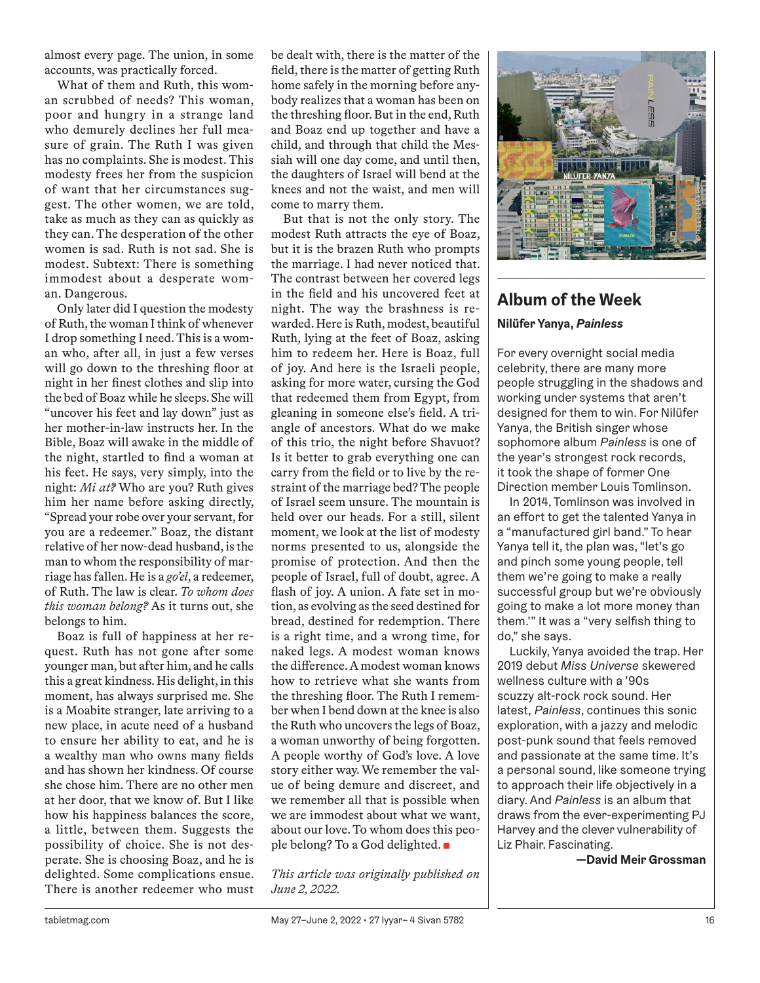almost every page. The union, in some accounts, was practically forced.

What of them and Ruth, this woman scrubbed of needs? This woman, poor and hungry in a strange land who demurely declines her full measure of grain. The Ruth I was given has no complaints. She is modest. This modesty frees her from the suspicion of want that her circumstances suggest. The other women, we are told, take as much as they can as quickly as they can. The desperation of the other women is sad. Ruth is not sad. She is modest. Subtext: There is something immodest about a desperate woman. Dangerous.

Only later did I question the modesty of Ruth, the woman I think of whenever I drop something I need. This is a woman who, after all, in just a few verses will go down to the threshing floor at night in her finest clothes and slip into the bed of Boaz while he sleeps. She will "uncover his feet and lay down" just as her mother-in-law instructs her. In the Bible, Boaz will awake in the middle of the night, startled to find a woman at his feet. He says, very simply, into the night: *Mi at?* Who are you? Ruth gives him her name before asking directly, "Spread your robe over your servant, for you are a redeemer." Boaz, the distant relative of her now-dead husband, is the man to whom the responsibility of marriage has fallen. He is a *go'el*, a redeemer, of Ruth. The law is clear. *To whom does this woman belong?* As it turns out, she belongs to him.

Boaz is full of happiness at her request. Ruth has not gone after some younger man, but after him, and he calls this a great kindness. His delight, in this moment, has always surprised me. She is a Moabite stranger, late arriving to a new place, in acute need of a husband to ensure her ability to eat, and he is a wealthy man who owns many fields and has shown her kindness. Of course she chose him. There are no other men at her door, that we know of. But I like how his happiness balances the score, a little, between them. Suggests the possibility of choice. She is not desperate. She is choosing Boaz, and he is delighted. Some complications ensue. There is another redeemer who must be dealt with, there is the matter of the field, there is the matter of getting Ruth home safely in the morning before anybody realizes that a woman has been on the threshing floor. But in the end, Ruth and Boaz end up together and have a child, and through that child the Messiah will one day come, and until then, the daughters of Israel will bend at the knees and not the waist, and men will come to marry them.

But that is not the only story. The modest Ruth attracts the eye of Boaz, but it is the brazen Ruth who prompts the marriage. I had never noticed that. The contrast between her covered legs in the field and his uncovered feet at night. The way the brashness is rewarded. Here is Ruth, modest, beautiful Ruth, lying at the feet of Boaz, asking him to redeem her. Here is Boaz, full of joy. And here is the Israeli people, asking for more water, cursing the God that redeemed them from Egypt, from gleaning in someone else's field. A triangle of ancestors. What do we make of this trio, the night before Shavuot? Is it better to grab everything one can carry from the field or to live by the restraint of the marriage bed? The people of Israel seem unsure. The mountain is held over our heads. For a still, silent moment, we look at the list of modesty norms presented to us, alongside the promise of protection. And then the people of Israel, full of doubt, agree. A flash of joy. A union. A fate set in motion, as evolving as the seed destined for bread, destined for redemption. There is a right time, and a wrong time, for naked legs. A modest woman knows the difference. A modest woman knows how to retrieve what she wants from the threshing floor. The Ruth I remember when I bend down at the knee is also the Ruth who uncovers the legs of Boaz, a woman unworthy of being forgotten. A people worthy of God's love. A love story either way. We remember the value of being demure and discreet, and we remember all that is possible when we are immodest about what we want, about our love. To whom does this people belong? To a God delighted. ■

*This article was originally published on June 2, 2022.*



#### **Album of the Week Nilüfer Yanya,** *Painless*

For every overnight social media celebrity, there are many more people struggling in the shadows and working under systems that aren't designed for them to win. For Nilüfer Yanya, the British singer whose sophomore album *Painless* is one of the year's strongest rock records, it took the shape of former One Direction member Louis Tomlinson.

In 2014, Tomlinson was involved in an effort to get the talented Yanya in a "manufactured girl band." To hear Yanya tell it, the plan was, "let's go and pinch some young people, tell them we're going to make a really successful group but we're obviously going to make a lot more money than them.'" It was a "very selfish thing to do," she says.

Luckily, Yanya avoided the trap. Her 2019 debut *Miss Universe* skewered wellness culture with a '90s scuzzy alt-rock rock sound. Her latest, *Painless*, continues this sonic exploration, with a jazzy and melodic post-punk sound that feels removed and passionate at the same time. It's a personal sound, like someone trying to approach their life objectively in a diary. And *Painless* is an album that draws from the ever-experimenting PJ Harvey and the clever vulnerability of Liz Phair. Fascinating.

**—David Meir Grossman**